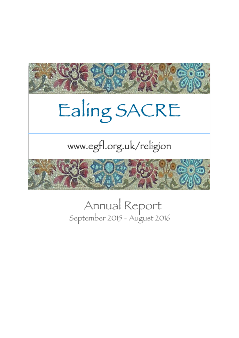

# Ealing SACRE

# www.egfl.org.uk/religion



# Annual Report<br>September 2015 - August 2016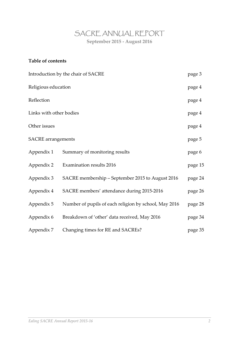# SACRE ANNUAL REPORT **September 2015 - August 2016**

### **Table of contents**

| Introduction by the chair of SACRE |                                                       |         |  |  |  |  |  |
|------------------------------------|-------------------------------------------------------|---------|--|--|--|--|--|
| Religious education                |                                                       | page 4  |  |  |  |  |  |
| Reflection                         |                                                       | page 4  |  |  |  |  |  |
| Links with other bodies            |                                                       |         |  |  |  |  |  |
| Other issues                       |                                                       |         |  |  |  |  |  |
| <b>SACRE</b> arrangements          |                                                       | page 5  |  |  |  |  |  |
| Appendix 1                         | Summary of monitoring results                         | page 6  |  |  |  |  |  |
| Appendix 2                         | Examination results 2016                              | page 15 |  |  |  |  |  |
| Appendix 3                         | SACRE membership - September 2015 to August 2016      | page 24 |  |  |  |  |  |
| Appendix 4                         | SACRE members' attendance during 2015-2016            | page 26 |  |  |  |  |  |
| Appendix 5                         | Number of pupils of each religion by school, May 2016 | page 28 |  |  |  |  |  |
| Appendix 6                         | Breakdown of 'other' data received, May 2016          | page 34 |  |  |  |  |  |
| Appendix 7                         | Changing times for RE and SACREs?                     | page 35 |  |  |  |  |  |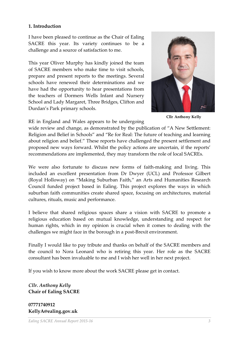#### **1. Introduction**

I have been pleased to continue as the Chair of Ealing SACRE this year. Its variety continues to be a challenge and a source of satisfaction to me.

This year Oliver Murphy has kindly joined the team of SACRE members who make time to visit schools, prepare and present reports to the meetings. Several schools have renewed their determinations and we have had the opportunity to hear presentations from the teachers of Dormers Wells Infant and Nursery School and Lady Margaret, Three Bridges, Clifton and Durdan's Park primary schools.



**Cllr Anthony Kelly**

RE in England and Wales appears to be undergoing

wide review and change, as demonstrated by the publication of "A New Settlement: Religion and Belief in Schools" and "Re for Real: The future of teaching and learning about religion and belief." These reports have challenged the present settlement and proposed new ways forward. Whilst the policy actions are uncertain, if the reports' recommendations are implemented, they may transform the role of local SACREs.

We were also fortunate to discuss new forms of faith-making and living. This included an excellent presentation from Dr Dwyer (UCL) and Professor Gilbert (Royal Holloway) on "Making Suburban Faith," an Arts and Humanities Research Council funded project based in Ealing. This project explores the ways in which suburban faith communities create shared space, focusing on architectures, material cultures, rituals, music and performance.

I believe that shared religious spaces share a vision with SACRE to promote a religious education based on mutual knowledge, understanding and respect for human rights, which in my opinion is crucial when it comes to dealing with the challenges we might face in the borough in a post-Brexit environment.

Finally I would like to pay tribute and thanks on behalf of the SACRE members and the council to Nora Leonard who is retiring this year. Her role as the SACRE consultant has been invaluable to me and I wish her well in her next project.

If you wish to know more about the work SACRE please get in contact.

*Cllr. Anthony Kelly* **Chair of Ealing SACRE** 

**07771740912 KellyA@ealing.gov.uk**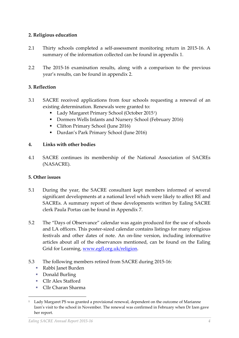#### **2. Religious education**

- 2.1 Thirty schools completed a self-assessment monitoring return in 2015-16. A summary of the information collected can be found in appendix 1.
- 2.2 The 2015-16 examination results, along with a comparison to the previous year's results, can be found in appendix 2.

#### **3. Reflection**

- 3.1 SACRE received applications from four schools requesting a renewal of an existing determination. Renewals were granted to:
	- Lady Margaret Primary School (October 2015<sup>1</sup>)
	- Dormers Wells Infants and Nursery School (February 2016)
	- Clifton Primary School (June 2016)
	- Durdan's Park Primary School (June 2016)

#### **4. Links with other bodies**

4.1 SACRE continues its membership of the National Association of SACREs (NASACRE).

#### **5. Other issues**

- 5.1 During the year, the SACRE consultant kept members informed of several significant developments at a national level which were likely to affect RE and SACREs. A summary report of these developments written by Ealing SACRE clerk Paula Portas can be found in Appendix 7.
- 5.2 The "Days of Observance" calendar was again produced for the use of schools and LA officers. This poster-sized calendar contains listings for many religious festivals and other dates of note. An on-line version, including informative articles about all of the observances mentioned, can be found on the Ealing Grid for Learning, [www.egfl.org.uk/religion.](http://www.egfl.org.uk/religion)
- 5.3 The following members retired from SACRE during 2015-16:
	- Rabbi Janet Burden
	- Donald Burling

-

- Cllr Alex Stafford
- **Cllr Charan Sharma**

<sup>&</sup>lt;sup>1</sup> Lady Margaret PS was granted a provisional renewal, dependent on the outcome of Marianne Izen's visit to the school in November. The renewal was confirmed in February when Dr Izen gave her report.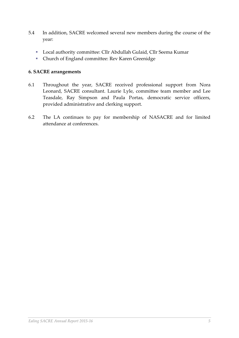- 5.4 In addition, SACRE welcomed several new members during the course of the year:
	- Local authority committee: Cllr Abdullah Gulaid, Cllr Seema Kumar
	- Church of England committee: Rev Karen Greenidge

#### **6. SACRE arrangements**

- 6.1 Throughout the year, SACRE received professional support from Nora Leonard, SACRE consultant. Laurie Lyle, committee team member and Lee Teasdale, Ray Simpson and Paula Portas, democratic service officers, provided administrative and clerking support.
- 6.2 The LA continues to pay for membership of NASACRE and for limited attendance at conferences.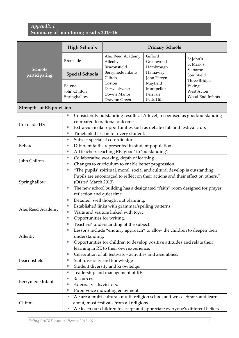### *Appendix 1*  **Summary of monitoring results 2015-16**

|                                  | <b>High Schools</b>                                                                                                                                                                                                                                                               | <b>Primary Schools</b>                                                                                                         |                                                                                                                                                             |                                                                         |  |  |  |  |  |  |
|----------------------------------|-----------------------------------------------------------------------------------------------------------------------------------------------------------------------------------------------------------------------------------------------------------------------------------|--------------------------------------------------------------------------------------------------------------------------------|-------------------------------------------------------------------------------------------------------------------------------------------------------------|-------------------------------------------------------------------------|--|--|--|--|--|--|
| <b>Schools</b>                   | Brentside                                                                                                                                                                                                                                                                         | Alec Reed Academy<br>Allenby<br>Beaconsfield                                                                                   | Gifford<br>Greenwood<br>Hambrough                                                                                                                           | St John's<br>St Mark's<br>Selborne                                      |  |  |  |  |  |  |
| participating                    | <b>Special Schools</b>                                                                                                                                                                                                                                                            | Berrymede Infants<br>Clifton                                                                                                   | Hathaway<br>John Perryn                                                                                                                                     | Southfield                                                              |  |  |  |  |  |  |
|                                  | Belvue<br>John Chilton<br>Springhallow                                                                                                                                                                                                                                            | Coston<br>Derwentwater<br>Downe Manor<br>Drayton Green                                                                         | Mayfield<br>Montpelier<br>Perivale<br>Petts Hill                                                                                                            | <b>Three Bridges</b><br>Viking<br><b>West Acton</b><br>Wood End Infants |  |  |  |  |  |  |
| <b>Strengths of RE provision</b> |                                                                                                                                                                                                                                                                                   |                                                                                                                                |                                                                                                                                                             |                                                                         |  |  |  |  |  |  |
| <b>Brentside HS</b>              | Consistently outstanding results at A-level, recognised as good/outstanding<br>U.<br>compared to national outcomes.<br>Extra-curricular opportunities such as debate club and festival club.<br>ш<br>Timetabled lesson for every student.<br>×,                                   |                                                                                                                                |                                                                                                                                                             |                                                                         |  |  |  |  |  |  |
| Belvue                           | Subject specialist co-ordinator.<br>×.<br>Different faiths represented in student population.<br>×.<br>All teachers teaching RE 'good' to 'outstanding'.<br>×.                                                                                                                    |                                                                                                                                |                                                                                                                                                             |                                                                         |  |  |  |  |  |  |
| John Chilton                     | Collaborative working, depth of learning.<br>×,<br>Changes to curriculum to enable better progression.<br>×.                                                                                                                                                                      |                                                                                                                                |                                                                                                                                                             |                                                                         |  |  |  |  |  |  |
| Springhallow                     | "The pupils' spiritual, moral, social and cultural develop is outstanding.<br>$\Box$<br>Pupils are encouraged to reflect on their actions and their effect on others."<br>(Ofsted March 2013)<br>The new school building has a designated "faith" room designed for prayer,<br>×. |                                                                                                                                |                                                                                                                                                             |                                                                         |  |  |  |  |  |  |
| Alec Reed Academy                | reflection and quiet time.<br>Detailed, well thought out planning.<br>×,<br>Established links with grammar/spelling patterns.<br>ш<br>Visits and visitors linked with topic.<br>×.<br>Opportunities for writing.<br>u,                                                            |                                                                                                                                |                                                                                                                                                             |                                                                         |  |  |  |  |  |  |
| Allenby                          | Teachers' understanding of the subject.<br>ш<br>Lessons include "enquiry approach" to allow the children to deepen their<br>ш<br>understanding.<br>Opportunities for children to develop positive attitudes and relate their<br>ш<br>learning in RE to their own experience.      |                                                                                                                                |                                                                                                                                                             |                                                                         |  |  |  |  |  |  |
| Beaconsfield                     | ×.<br>U.<br>×.                                                                                                                                                                                                                                                                    | Celebration of all festivals – activities and assemblies.<br>Staff diversity and knowledge<br>Student diversity and knowledge. |                                                                                                                                                             |                                                                         |  |  |  |  |  |  |
| Berrymede Infants                | ш<br>Resources.<br>ш<br>External visits/visitors.<br>×.<br>×.                                                                                                                                                                                                                     | Leadership and management of RE.<br>Pupil voice indicating enjoyment.                                                          |                                                                                                                                                             |                                                                         |  |  |  |  |  |  |
| Clifton                          | D.<br>ш                                                                                                                                                                                                                                                                           | about, most festivals from all religions.                                                                                      | We are a multi-cultural, multi- religion school and we celebrate, and learn<br>We teach our children to accept and appreciate everyone's different beliefs. |                                                                         |  |  |  |  |  |  |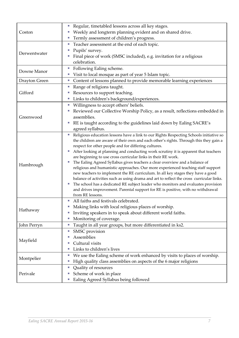|               | Regular, timetabled lessons across all key stages.<br>E                                      |
|---------------|----------------------------------------------------------------------------------------------|
| Coston        | Weekly and longterm planning evident and on shared drive.                                    |
|               | Termly assessment of children's progress.<br>ш                                               |
|               | Teacher assessment at the end of each topic.<br>E                                            |
|               | Pupils' survey.<br>Ш                                                                         |
| Derwentwater  | Final piece of work (SMSC included), e.g. invitation for a religious                         |
|               | celebration.                                                                                 |
|               | Following Ealing scheme.<br>E                                                                |
| Downe Manor   | Visit to local mosque as part of year 5 Islam topic.<br>ш                                    |
| Drayton Green | Content of lessons planned to provide memorable learning experiences<br>E                    |
|               | Range of religions taught.<br>ш                                                              |
| Gifford       | Resources to support teaching.                                                               |
|               | Links to children's background/experiences.<br>ш                                             |
|               | Willingness to accept others' beliefs.<br>П                                                  |
|               | Reviewed our Collective Worship Policy, as a result, reflections embedded in                 |
| Greenwood     | assemblies.                                                                                  |
|               | RE is taught according to the guidelines laid down by Ealing SACRE's<br>I.                   |
|               | agreed syllabus.                                                                             |
|               | Religious education lessons have a link to our Rights Respecting Schools initiative so<br>L. |
|               | the children are aware of their own and each other's rights. Through this they gain a        |
|               | respect for other people and for differing cultures.                                         |
|               | After looking at planning and conducting work scrutiny it is apparent that teachers<br>Е     |
|               | are beginning to use cross curricular links in their RE work.                                |
|               | The Ealing Agreed Syllabus gives teachers a clear overview and a balance of<br>E.            |
| Hambrough     | religious and humanistic approaches. Our more experienced teaching staff support             |
|               | new teachers to implement the RE curriculum. In all key stages they have a good              |
|               | balance of activities such as using drama and art to reflect the cross curricular links.     |
|               | The school has a dedicated RE subject leader who monitors and evaluates provision<br>ш       |
|               | and drives improvement. Parental support for RE is positive, with no withdrawal              |
|               | from RE lessons.                                                                             |
|               | All faiths and festivals celebrated                                                          |
| Hathaway      | Making links with local religious places of worship.<br>Г                                    |
|               | Inviting speakers in to speak about different world faiths.<br>Г                             |
|               | Monitoring of coverage.<br>E                                                                 |
| John Perryn   | Taught in all year groups, but more differentiated in ks2.<br>ш                              |
|               | SMSC provision<br>Г                                                                          |
|               | Assemblies                                                                                   |
| Mayfield      | Cultural visits<br>ш                                                                         |
|               | Links to children's lives<br>Г                                                               |
|               | We use the Ealing scheme of work enhanced by visits to places of worship.<br>Г               |
| Montpelier    | High quality class assemblies on aspects of the 6 major religions<br>E                       |
|               | Quality of resources<br>E                                                                    |
| Perivale      | Scheme of work in place                                                                      |
|               | Ealing Agreed Syllabus being followed                                                        |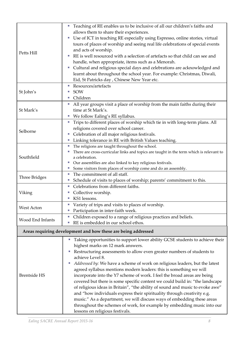|                     | Teaching of RE enables us to be inclusive of all our children's faiths and<br>Щ         |
|---------------------|-----------------------------------------------------------------------------------------|
| Petts Hill          | allows them to share their experiences.                                                 |
|                     | Use of ICT in teaching RE especially using Espresso, online stories, virtual<br>ш       |
|                     | tours of places of worship and seeing real life celebrations of special events          |
|                     | and acts of worship.                                                                    |
|                     | RE is well resourced with a selection of artefacts so that child can see and            |
|                     | handle, when appropriate, items such as a Menorah.                                      |
|                     | Cultural and religious special days and celebrations are acknowledged and<br>ш          |
|                     | learnt about throughout the school year. For example: Christmas, Diwali,                |
|                     | Eid, St Patricks day, Chinese New Year etc.                                             |
|                     | Resources/artefacts<br>ш                                                                |
| St John's           | <b>SOW</b>                                                                              |
|                     | Children<br>ш                                                                           |
|                     | All year groups visit a place of worship from the main faiths during their<br>Ш         |
| St Mark's           | time at St Mark's.                                                                      |
|                     | We follow Ealing's RE syllabus.<br>Щ                                                    |
|                     | Trips to different places of worship which tie in with long-term plans. All<br>×.       |
|                     | religions covered over school career.                                                   |
| Selborne            | Celebration of all major religious festivals.                                           |
|                     | Linking tolerance in RE with British Values teaching.<br>ш                              |
|                     | The religions are taught throughout the school.<br>F.                                   |
|                     | There are cross-curricular links and topics are taught in the term which is relevant to |
| Southfield          | a celebration.                                                                          |
|                     | Our assemblies are also linked to key religious festivals.<br>щ                         |
|                     | Some visitors from places of worship come and do an assembly.<br>E                      |
| Three Bridges       | The commitment of all staff.<br>ш                                                       |
|                     | Schedule of visits to places of worship; parents' commitment to this.<br>ш              |
|                     | Celebrations from different faiths.<br>ш                                                |
| Viking              | Collective worship.                                                                     |
|                     | KS1 lessons.<br>U.                                                                      |
| West Acton          | Variety of trips and visits to places of worship.<br>ш                                  |
|                     | Participation in inter-faith week.<br>ш                                                 |
| Wood End Infants    | Children exposed to a range of religious practices and beliefs.<br>ш                    |
|                     | RE is embedded in our school ethos.<br>ш                                                |
|                     | Areas requiring development and how these are being addressed                           |
|                     | Taking opportunities to support lower ability GCSE students to achieve their<br>Е       |
|                     | highest marks on 12 mark answers.                                                       |
|                     | Restructuring assessments to allow even greater numbers of students to<br>E             |
|                     | achieve Level 8.                                                                        |
|                     | Addressed by: We have a scheme of work on religious leaders, but the latest<br>ш        |
|                     | agreed syllabus mentions modern leaders: this is something we will                      |
| <b>Brentside HS</b> | incorporate into the Y7 scheme of work. I feel the broad areas are being                |
|                     | covered but there is some specific content we could build in: "the landscape            |
|                     | of religious ideas in Britain", "the ability of sound and music to evoke awe"           |
|                     | and "how individuals express their spirituality through creativity e.g.                 |
|                     | music." As a department, we will discuss ways of embedding these areas                  |
|                     | throughout the schemes of work, for example by embedding music into our                 |
|                     | lessons on religious festivals.                                                         |
|                     |                                                                                         |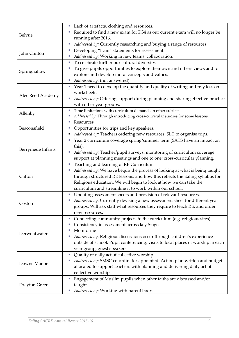|                   | Lack of artefacts, clothing and resources.                                        |
|-------------------|-----------------------------------------------------------------------------------|
| Belvue            | Required to find a new exam for KS4 as our current exam will no longer be         |
|                   | running after 2016.                                                               |
|                   | Addressed by: Currently researching and buying a range of resources.<br>ш         |
|                   | Developing "I can" statements for assessment.<br>ш                                |
| John Chilton      | Addressed by: Working in new teams; collaboration.                                |
|                   | To celebrate further our cultural diversity.<br>×,                                |
|                   | To give pupils opportunities to explore their own and others views and to         |
| Springhallow      | explore and develop moral concepts and values.                                    |
|                   | Addressed by: (not answered)                                                      |
|                   | Year 1 need to develop the quantity and quality of writing and rely less on       |
|                   | worksheets.                                                                       |
| Alec Reed Academy | Addressed by: Offering support during planning and sharing effective practice     |
|                   | with other year groups.                                                           |
|                   | Time limitations with curriculum demands in other subjects.<br>×.                 |
| Allenby           | Addressed by: Through introducing cross-curricular studies for some lessons.<br>ш |
|                   | Resources<br>ш                                                                    |
| Beaconsfield      | Opportunities for trips and key speakers.<br>ш                                    |
|                   | Addressed by: Teachers ordering new resources; SLT to organise trips.<br>Е        |
|                   | Year 2 curriculum coverage spring/summer term (SATS have an impact on<br>×,       |
|                   | this).                                                                            |
| Berrymede Infants | Addressed by: Teacher/pupil surveys; monitoring of curriculum coverage;<br>×,     |
|                   | support at planning meetings and one to one; cross-curricular planning.           |
|                   | Teaching and learning of RE Curriculum<br>×.                                      |
|                   | Addressed by: We have begun the process of looking at what is being taught<br>ш   |
| Clifton           | through structured RE lessons, and how this reflects the Ealing syllabus for      |
|                   | Religious education. We will begin to look at how we can take the                 |
|                   | curriculum and streamline it to work within our school.                           |
|                   | Updating assessment sheets and provision of relevant resources.<br>П              |
|                   | Addressed by: Currently devising a new assessment sheet for different year        |
| Coston            | groups. Will ask staff what resources they require to teach RE, and order         |
|                   | new resources.                                                                    |
|                   | Connecting community projects to the curriculum (e.g. religious sites).<br>ш      |
|                   | Consistency in assessment across key Stages                                       |
| Derwentwater      | Monitoring                                                                        |
|                   | Addressed by: Religious discussions occur through children's experience<br>п      |
|                   | outside of school. Pupil conferencing; visits to local places of worship in each  |
|                   | year group; guest speakers                                                        |
|                   | Quality of daily act of collective worship.<br>П                                  |
| Downe Manor       | Addressed by: SMSC co-ordinator appointed. Action plan written and budget         |
|                   | allocated to support teachers with planning and delivering daily act of           |
|                   | collective worship.                                                               |
|                   | Engagement of Muslim pupils when other faiths are discussed and/or<br>П           |
| Drayton Green     | taught.                                                                           |
|                   | Addressed by: Working with parent body.                                           |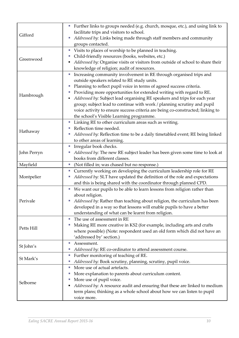|             | Further links to groups needed (e.g. church, mosque, etc.), and using link to<br>L.  |
|-------------|--------------------------------------------------------------------------------------|
| Gifford     | facilitate trips and visitors to school.                                             |
|             | Addressed by: Links being made through staff members and community<br>E              |
|             | groups contacted.                                                                    |
|             | Visits to places of worship to be planned in teaching.<br>L.                         |
|             | Child-friendly resources (books, websites, etc.)<br>ш                                |
| Greenwood   | Addressed by: Organise visits or visitors from outside of school to share their<br>Ξ |
|             | knowledge of religion; audit of resources.                                           |
|             | Increasing community involvement in RE through organised trips and<br>L.             |
|             | outside speakers related to RE study units.                                          |
|             | Planning to reflect pupil voice in terms of agreed success criteria.<br>E.           |
|             | Providing more opportunities for extended writing with regard to RE.<br>ш            |
| Hambrough   | Addressed by: Subject lead organising RE speakers and trips for each year<br>п       |
|             | group; subject lead to continue with work / planning scrutiny and pupil              |
|             | voice activity to ensure success criteria are being co-constructed; linking to       |
|             | the school's Visible Learning programme.                                             |
|             | Linking RE to other curriculum areas such as writing.<br>L.                          |
|             | Reflection time needed.<br>×.                                                        |
| Hathaway    | Addressed by: Reflection time to be a daily timetabled event; RE being linked<br>E   |
|             | to other areas of learning.                                                          |
|             | L.                                                                                   |
|             | Irregular book checks.                                                               |
| John Perryn | Addressed by: The new RE subject leader has been given some time to look at<br>ш     |
|             | books from different classes.                                                        |
| Mayfield    | (Not filled in; was chased but no response.)<br>L.                                   |
|             | Currently working on developing the curriculum leadership role for RE<br>×,          |
| Montpelier  | Addressed by: SLT have updated the definition of the role and expectations<br>L.     |
|             | and this is being shared with the coordinator through planned CPD.                   |
|             | We want our pupils to be able to learn lessons from religion rather than<br>L.       |
|             | about religion.                                                                      |
| Perivale    | Addressed by: Rather than teaching about religion, the curriculum has been           |
|             | developed in a way so that lessons will enable pupils to have a better               |
|             | understanding of what can be learnt from religion.                                   |
|             | The use of assessment in RE<br>ш                                                     |
| Petts Hill  | Making RE more creative in KS2 (for example, including arts and crafts               |
|             | where possible) (Note: respondent used an old form which did not have an             |
|             | 'addressed by' section.)                                                             |
|             | Assessment.<br>×.                                                                    |
| St John's   | Addressed by: RE co-ordinator to attend assessment course.<br>E                      |
|             | Further monitoring of teaching of RE.<br>E                                           |
| St Mark's   | Addressed by: Book scrutiny, planning, scrutiny, pupil voice.<br>Е                   |
|             | More use of actual artefacts.<br>ш                                                   |
|             | More explanation to parents about curriculum content.<br>Ξ                           |
|             | More use of pupil voice.<br>ш                                                        |
| Selborne    | Addressed by: A resource audit and ensuring that these are linked to medium<br>Е     |
|             | term plans; thinking as a whole school about how we can listen to pupil              |
|             | voice more.                                                                          |
|             |                                                                                      |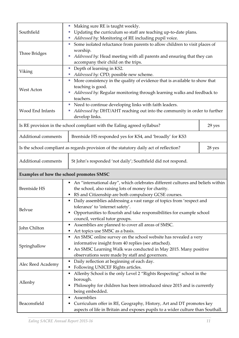| Southfield                                                                          | Making sure RE is taught weekly.<br>F.<br>Updating the curriculum so staff are teaching up-to-date plans.<br>E.<br>Addressed by: Monitoring of RE including pupil voice.<br>ш                                                                        |        |  |  |  |  |  |  |  |  |
|-------------------------------------------------------------------------------------|------------------------------------------------------------------------------------------------------------------------------------------------------------------------------------------------------------------------------------------------------|--------|--|--|--|--|--|--|--|--|
| Three Bridges                                                                       | Some isolated reluctance from parents to allow children to visit places of<br>E<br>worship.<br>Addressed by: Head meeting with all parents and ensuring that they can<br>Е<br>accompany their child on the trips.                                    |        |  |  |  |  |  |  |  |  |
| Viking                                                                              | Depth of learning in KS2.<br>Е<br>Addressed by: CPD; possible new scheme.                                                                                                                                                                            |        |  |  |  |  |  |  |  |  |
| <b>West Acton</b>                                                                   | More consistency in the quality of evidence that is available to show that<br>ш<br>teaching is good.<br>Addressed by: Regular monitoring through learning walks and feedback to<br>teachers.                                                         |        |  |  |  |  |  |  |  |  |
| Wood End Infants                                                                    | Need to continue developing links with faith leaders.<br>×.<br>Addressed by: DHT/AHT reaching out into the community in order to further<br>F.<br>develop links.                                                                                     |        |  |  |  |  |  |  |  |  |
|                                                                                     | Is RE provision in the school compliant with the Ealing agreed syllabus?                                                                                                                                                                             | 29 yes |  |  |  |  |  |  |  |  |
| Additional comments                                                                 | Brentside HS responded yes for KS4, and 'broadly' for KS3                                                                                                                                                                                            |        |  |  |  |  |  |  |  |  |
|                                                                                     | Is the school compliant as regards provision of the statutory daily act of reflection?                                                                                                                                                               | 28 yes |  |  |  |  |  |  |  |  |
| Additional comments<br>St John's responded 'not daily'; Southfield did not respond. |                                                                                                                                                                                                                                                      |        |  |  |  |  |  |  |  |  |
|                                                                                     | Examples of how the school promotes SMSC                                                                                                                                                                                                             |        |  |  |  |  |  |  |  |  |
| <b>Brentside HS</b>                                                                 | An "international day", which celebrates different cultures and beliefs within<br>٠<br>the school, also raising lots of money for charity.<br>RS and Citizenship are both compulsory GCSE courses.<br>٠                                              |        |  |  |  |  |  |  |  |  |
| Belvue                                                                              | Daily assemblies addressing a vast range of topics from 'respect and<br>tolerance' to 'internet safety'.<br>Opportunities to flourish and take responsibilities for example school<br>٠<br>council, vertical tutor groups.                           |        |  |  |  |  |  |  |  |  |
| John Chilton                                                                        | Assemblies are planned to cover all areas of SMSC.<br>п<br>Art topics use SMSC as a basis.<br>п                                                                                                                                                      |        |  |  |  |  |  |  |  |  |
| Springhallow                                                                        | An SMSC online survey on the school website has revealed a very<br>٠<br>informative insight from 40 replies (see attached).<br>An SMSC Learning Walk was conducted in May 2015. Many positive<br>Ξ<br>observations were made by staff and governors. |        |  |  |  |  |  |  |  |  |
| Alec Reed Academy                                                                   | Daily reflection at beginning of each day.<br>п<br>Following UNICEF Rights articles.<br>п                                                                                                                                                            |        |  |  |  |  |  |  |  |  |
| Allenby                                                                             | Allenby School is the only Level 2 "Rights Respecting" school in the<br>٠<br>borough.<br>Philosophy for children has been introduced since 2015 and is currently<br>Е<br>being embedded.                                                             |        |  |  |  |  |  |  |  |  |
| Beaconsfield                                                                        | Assemblies<br>п<br>Curriculum offer in RE, Geography, History, Art and DT promotes key<br>п<br>aspects of life in Britain and exposes pupils to a wider culture than Southall.                                                                       |        |  |  |  |  |  |  |  |  |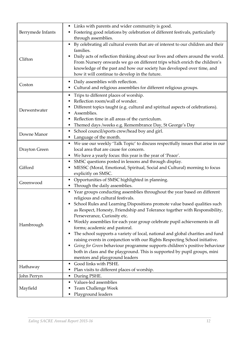| Berrymede Infants | Links with parents and wider community is good.<br>Fostering good relations by celebration of different festivals, particularly<br>through assemblies.                                                                                                                                                                                                                                                                                                                                                                                                                                                                                                                                                                                                                                                    |
|-------------------|-----------------------------------------------------------------------------------------------------------------------------------------------------------------------------------------------------------------------------------------------------------------------------------------------------------------------------------------------------------------------------------------------------------------------------------------------------------------------------------------------------------------------------------------------------------------------------------------------------------------------------------------------------------------------------------------------------------------------------------------------------------------------------------------------------------|
| Clifton           | By celebrating all cultural events that are of interest to our children and their<br>$\blacksquare$<br>families.<br>Daily acts of reflection thinking about our lives and others around the world.<br>From Nursery onwards we go on different trips which enrich the children's<br>knowledge of the past and how our society has developed over time, and<br>how it will continue to develop in the future.                                                                                                                                                                                                                                                                                                                                                                                               |
| Coston            | Daily assemblies with reflection.<br>п<br>Cultural and religious assemblies for different religious groups.                                                                                                                                                                                                                                                                                                                                                                                                                                                                                                                                                                                                                                                                                               |
| Derwentwater      | Trips to different places of worship.<br>Reflection room/wall of wonder.<br>Different topics taught (e.g. cultural and spiritual aspects of celebrations).<br>Assemblies.<br>Reflection time in all areas of the curriculum.<br>Themed days /weeks e.g. Remembrance Day, St George's Day<br>п                                                                                                                                                                                                                                                                                                                                                                                                                                                                                                             |
| Downe Manor       | School council/sports crew/head boy and girl.<br>п<br>Language of the month.<br>٠                                                                                                                                                                                                                                                                                                                                                                                                                                                                                                                                                                                                                                                                                                                         |
| Drayton Green     | We use our weekly 'Talk Topic' to discuss respectfully issues that arise in our<br>٠<br>local area that are cause for concern.<br>We have a yearly focus: this year is the year of 'Peace'.<br>п                                                                                                                                                                                                                                                                                                                                                                                                                                                                                                                                                                                                          |
| Gifford           | SMSC questions posted in lessons and through display.<br>п<br>MESSC (Moral, Emotional, Spiritual, Social and Cultural) morning to focus<br>explicitly on SMSC.                                                                                                                                                                                                                                                                                                                                                                                                                                                                                                                                                                                                                                            |
| Greenwood         | Opportunities of SMSC highlighted in planning.<br>٠<br>Through the daily assemblies.<br>п                                                                                                                                                                                                                                                                                                                                                                                                                                                                                                                                                                                                                                                                                                                 |
| Hambrough         | Year groups conducting assemblies throughout the year based on different<br>п<br>religious and cultural festivals.<br>School Rules and Learning Dispositions promote value based qualities such<br>as Respect, Honesty, Friendship and Tolerance together with Responsibility,<br>Perseverance, Curiosity etc.<br>Weekly assemblies for each year group celebrate pupil achievements in all<br>п<br>forms; academic and pastoral.<br>The school supports a variety of local, national and global charities and fund<br>п<br>raising events in conjunction with our Rights Respecting School initiative.<br>Going for Green behaviour programme supports children's positive behaviour<br>п<br>both in class and the playground. This is supported by pupil groups, mini<br>mentors and playground leaders |
| Hathaway          | Good links with PSHE.<br>Е<br>Plan visits to different places of worship.                                                                                                                                                                                                                                                                                                                                                                                                                                                                                                                                                                                                                                                                                                                                 |
| John Perryn       | During PSHE.<br>п                                                                                                                                                                                                                                                                                                                                                                                                                                                                                                                                                                                                                                                                                                                                                                                         |
| Mayfield          | Values-led assemblies<br><b>Team Challenge Week</b><br>Playground leaders                                                                                                                                                                                                                                                                                                                                                                                                                                                                                                                                                                                                                                                                                                                                 |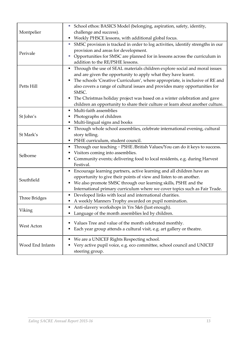|                  | School ethos: BASICS Model (belonging, aspiration, safety, identity,<br>L,           |
|------------------|--------------------------------------------------------------------------------------|
| Montpelier       | challenge and success).                                                              |
|                  | Weekly PHSCE lessons, with additional global focus.<br>п                             |
|                  | SMSC provision is tracked in order to log activities, identify strengths in our<br>D |
| Perivale         | provision and areas for development.                                                 |
|                  | Opportunities for SMSC are planned for in lessons across the curriculum in<br>ш      |
|                  | addition to the RE/PSHE lessons.                                                     |
|                  | Through the use of SEAL materials children explore social and moral issues<br>п      |
|                  | and are given the opportunity to apply what they have learnt.                        |
|                  | The schools 'Creative Curriculum', where appropriate, is inclusive of RE and<br>п    |
| Petts Hill       | also covers a range of cultural issues and provides many opportunities for           |
|                  | SMSC.                                                                                |
|                  | The Christmas holiday project was based on a winter celebration and gave<br>п        |
|                  | children an opportunity to share their culture or learn about another culture.       |
|                  | Multi-faith assemblies<br>п                                                          |
| St John's        | Photographs of children                                                              |
|                  | Multi-lingual signs and books<br>п                                                   |
|                  | Through whole school assemblies, celebrate international evening, cultural<br>п      |
| St Mark's        | story telling.                                                                       |
|                  | PSHE curriculum, student council.<br>п                                               |
|                  | Through our teaching - PSHE /British Values/You can do it keys to success.           |
| Selborne         | Visitors coming into assemblies.                                                     |
|                  | Community events; delivering food to local residents, e.g. during Harvest<br>٠       |
|                  | Festival.                                                                            |
|                  | Encourage learning partners, active learning and all children have an<br>٠           |
| Southfield       | opportunity to give their points of view and listen to on another.                   |
|                  | We also promote SMSC through our learning skills, PSHE and the<br>٠                  |
|                  | International primary curriculum where we cover topics such as Fair Trade.           |
| Three Bridges    | Developed links with local and international charities.<br>٠                         |
|                  | A weekly Manners Trophy awarded on pupil nomination                                  |
| Viking           | Anti-slavery workshops in Yrs 5&6 (Just enough).                                     |
|                  | Language of the month assemblies led by children.                                    |
|                  | Values Tree and value of the month celebrated monthly.                               |
| West Acton       | Each year group attends a cultural visit, e.g. art gallery or theatre.               |
|                  |                                                                                      |
|                  | We are a UNICEF Rights Respecting school.                                            |
| Wood End Infants | Very active pupil voice, e.g. eco committee, school council and UNICEF               |
|                  | steering group.                                                                      |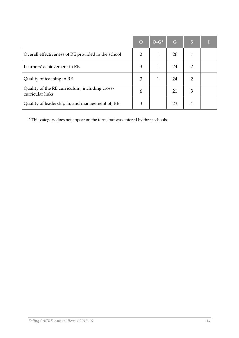|                                                                    | $\overline{O}$ | $O-G^*$ | G  | S |  |
|--------------------------------------------------------------------|----------------|---------|----|---|--|
| Overall effectiveness of RE provided in the school                 | $\overline{2}$ | 1       | 26 |   |  |
| Learners' achievement in RE                                        | 3              |         | 24 |   |  |
| Quality of teaching in RE                                          | 3              |         | 24 | 2 |  |
| Quality of the RE curriculum, including cross-<br>curricular links | 6              |         | 21 | 3 |  |
| Quality of leadership in, and management of, RE                    | 3              |         | 23 | 4 |  |

\* This category does not appear on the form, but was entered by three schools.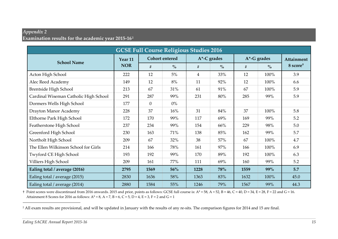#### *Appendix 2*  **Examination results for the academic year 2015-16<sup>2</sup>**

| <b>GCSE Full Course Religious Studies 2016</b> |            |          |                       |      |                 |                 |               |                      |  |  |
|------------------------------------------------|------------|----------|-----------------------|------|-----------------|-----------------|---------------|----------------------|--|--|
| <b>School Name</b>                             | Year 11    |          | <b>Cohort entered</b> |      | $A^*$ -C grades | $A^*$ -G grades | Attainment    |                      |  |  |
|                                                | <b>NOR</b> | $\#$     | $\frac{0}{0}$         | $\#$ | $\frac{0}{0}$   | #               | $\frac{0}{0}$ | 8 score <sup>†</sup> |  |  |
| Acton High School                              | 222        | 12       | $5\%$                 | 4    | 33%             | 12              | 100%          | 3.9                  |  |  |
| Alec Reed Academy                              | 149        | 12       | 8%                    | 11   | 92%             | 12              | 100%          | 6.6                  |  |  |
| <b>Brentside High School</b>                   | 213        | 67       | 31%                   | 61   | 91%             | 67              | 100%          | 5.9                  |  |  |
| Cardinal Wiseman Catholic High School          | 291        | 287      | 99%                   | 231  | 80%             | 285             | 99%           | 5.9                  |  |  |
| Dormers Wells High School                      | 177        | $\theta$ | $0\%$                 |      |                 |                 |               |                      |  |  |
| Drayton Manor Academy                          | 228        | 37       | 16%                   | 31   | 84%             | 37              | 100%          | 5.8                  |  |  |
| Elthorne Park High School                      | 172        | 170      | 99%                   | 117  | 69%             | 169             | 99%           | 5.2                  |  |  |
| Featherstone High School                       | 237        | 234      | 99%                   | 154  | 66%             | 229             | 98%           | 5.0                  |  |  |
| Greenford High School                          | 230        | 163      | 71%                   | 138  | 85%             | 162             | 99%           | 5.7                  |  |  |
| Northolt High School                           | 209        | 67       | 32%                   | 38   | 57%             | 67              | 100%          | 4.7                  |  |  |
| The Ellen Wilkinson School for Girls           | 214        | 166      | 78%                   | 161  | 97%             | 166             | 100%          | 6.9                  |  |  |
| Twyford CE High School                         | 193        | 192      | 99%                   | 170  | 89%             | 192             | 100%          | 6.3                  |  |  |
| Villiers High School                           | 209        | 161      | 77%                   | 111  | 69%             | 160             | 99%           | 5.2                  |  |  |
| Ealing total / average (2016)                  | 2795       | 1569     | 56%                   | 1228 | 78%             | 1559            | 99%           | 5.7                  |  |  |
| Ealing total / average (2015)                  | 2830       | 1636     | 58%                   | 1363 | 83%             | 1632            | 100%          | 45.0                 |  |  |
| Ealing total / average (2014)                  | 2880       | 1584     | 55%                   | 1246 | 79%             | 1567            | 99%           | 44.3                 |  |  |

† Point scores were discontinued from 2016 onwards. 2015 and prior, points as follows: GCSE full course is: A\* = 58, A = 52, B = 46, C = 40, D = 34, E = 28, F = 22 and G = 16. Attainment 8 Scores for 2016 as follows:  $A^* = 8$ ,  $A = 7$ ,  $B = 6$ ,  $C = 5$ ,  $D = 4$ ,  $E = 3$ ,  $F = 2$  and  $G = 1$ 

<sup>2</sup> All exam results are provisional, and will be updated in January with the results of any re-sits. The comparison figures for 2014 and 15 are final.

-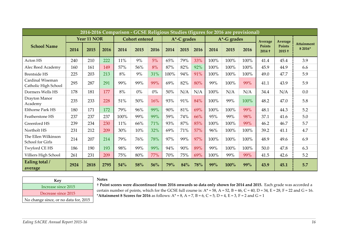| 2014-2016 Comparison - GCSE Religious Studies (figures for 2016 are provisional) |      |             |      |      |                       |       |             |      |            |                 |      |      |                           |                           |                              |
|----------------------------------------------------------------------------------|------|-------------|------|------|-----------------------|-------|-------------|------|------------|-----------------|------|------|---------------------------|---------------------------|------------------------------|
|                                                                                  |      | Year 11 NOR |      |      | <b>Cohort</b> entered |       | A*-C grades |      |            | $A^*$ -G grades |      |      | <b>Average</b>            | Average                   |                              |
| <b>School Name</b>                                                               | 2014 | 2015        | 2016 | 2014 | 2015                  | 2016  | 2014        | 2015 | 2016       | 2014            | 2015 | 2016 | <b>Points</b><br>$2014 +$ | <b>Points</b><br>$2015 +$ | <b>Attainment</b><br>8 2016* |
| Acton HS                                                                         | 240  | 210         | 222  | 11%  | 9%                    | 5%    | 65%         | 79%  | 33%        | 100%            | 100% | 100% | 41.4                      | 45.4                      | 3.9                          |
| Alec Reed Academy                                                                | 160  | 161         | 149  | 57%  | 56%                   | 8%    | 87%         | 82%  | 92%        | 100%            | 100% | 100% | 45.9                      | 44.9                      | 6.6                          |
| <b>Brentside HS</b>                                                              | 225  | 203         | 213  | 8%   | 9%                    | 31%   | 100%        | 94%  | 91%        | 100%            | 100% | 100% | 49.0                      | 47.7                      | 5.9                          |
| Cardinal Wiseman<br>Catholic High School                                         | 295  | 287         | 291  | 99%  | 99%                   | 99%   | 69%         | 82%  | 80%        | 99%             | 100% | 99%  | 41.1                      | 43.9                      | 5.9                          |
| Dormers Wells HS                                                                 | 178  | 181         | 177  | 8%   | 0%                    | $0\%$ | 50%         | N/A  | N/A        | 100%            | N/A  | N/A  | 34.4                      | N/A                       | 0.0                          |
| Drayton Manor<br>Academy                                                         | 235  | 233         | 228  | 51%  | 50%                   | 16%   | 93%         | 91%  | 84%        | 100%            | 99%  | 100% | 48.2                      | 47.0                      | 5.8                          |
| <b>Elthorne Park HS</b>                                                          | 180  | 171         | 172  | 79%  | 96%                   | 99%   | 90%         | 81%  | 69%        | 100%            | 100% | 99%  | 48.1                      | 44.3                      | 5.2                          |
| Featherstone HS                                                                  | 237  | 237         | 237  | 100% | 99%                   | 99%   | 59%         | 74%  | 66%        | 95%             | 99%  | 98%  | 37.1                      | 41.6                      | 5.0                          |
| Greenford HS                                                                     | 239  | 234         | 230  | 11%  | 66%                   | 71%   | 93%         | 87%  | 85%        | 100%            | 100% | 99%  | 46.2                      | 46.7                      | 5.7                          |
| Northolt HS                                                                      | 231  | 212         | 209  | 30%  | 10%                   | 32%   | 69%         | 71%  | 57%        | 96%             | 100% | 100% | 39.2                      | 41.1                      | 4.7                          |
| The Ellen Wilkinson<br>School for Girls                                          | 214  | 207         | 214  | 79%  | 76%                   | 78%   | 97%         | 99%  | 97%        | 100%            | 100% | 100% | 48.9                      | 49.6                      | 6.9                          |
| <b>Twyford CE HS</b>                                                             | 186  | 190         | 193  | 98%  | 99%                   | 99%   | 94%         | 90%  | 89%        | 99%             | 100% | 100% | 50.0                      | 47.8                      | 6.3                          |
| Villiers High School                                                             | 261  | 231         | 209  | 75%  | 80%                   | 77%   | 70%         | 75%  | 69%        | 100%            | 99%  | 99%  | 41.5                      | 42.6                      | 5.2                          |
| Ealing total /<br>average                                                        | 2924 | 2818        | 2795 | 54%  | 58%                   | 56%   | 79%         | 84%  | <b>78%</b> | 99%             | 100% | 99%  | 43.9                      | 45.1                      | 5.7                          |

| Key                                   |
|---------------------------------------|
| Increase since 2015                   |
| Decrease since 2015                   |
| No change since, or no data for, 2015 |

#### **Notes**

† **Point scores were discontinued from 2016 onwards so data only shown for 2014 and 2015.** Each grade was accorded a certain number of points, which for the GCSE full course is:  $A^* = 58$ ,  $A = 52$ ,  $B = 46$ ,  $C = 40$ ,  $D = 34$ ,  $E = 28$ ,  $F = 22$  and  $G = 16$ .  $*$  **Attainment 8 Scores for 2016** as follows: A $*$  = 8, A = 7, B = 6, C = 5, D = 4, E = 3, F = 2 and G = 1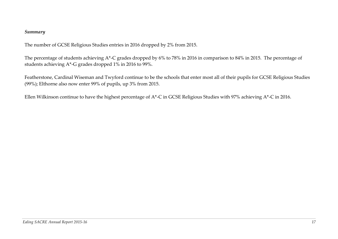#### *Summary*

The number of GCSE Religious Studies entries in 2016 dropped by 2% from 2015.

The percentage of students achieving A\*-C grades dropped by 6% to 78% in 2016 in comparison to 84% in 2015. The percentage of students achieving A\*-G grades dropped 1% in 2016 to 99%.

Featherstone, Cardinal Wiseman and Twyford continue to be the schools that enter most all of their pupils for GCSE Religious Studies (99%); Elthorne also now enter 99% of pupils, up 3% from 2015.

Ellen Wilkinson continue to have the highest percentage of A\*-C in GCSE Religious Studies with 97% achieving A\*-C in 2016.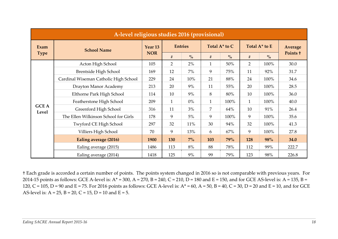|                       | A-level religious studies 2016 (provisional) |                    |                |                |                |               |                |               |                |  |  |
|-----------------------|----------------------------------------------|--------------------|----------------|----------------|----------------|---------------|----------------|---------------|----------------|--|--|
| Exam                  | <b>School Name</b>                           | Year <sub>13</sub> |                | <b>Entries</b> |                | Total A* to C |                | Total A* to E | <b>Average</b> |  |  |
| <b>Type</b>           |                                              | <b>NOR</b>         | #              | $\frac{6}{6}$  | #              | $\frac{6}{2}$ | #              | $\frac{6}{2}$ | Points +       |  |  |
|                       | Acton High School                            | 105                | $\overline{2}$ | 2%             | $\mathbf{1}$   | 50%           | $\overline{2}$ | 100%          | 30.0           |  |  |
|                       | Brentside High School                        | 169                | 12             | $7\%$          | 9              | 75%           | 11             | 92%           | 31.7           |  |  |
|                       | Cardinal Wiseman Catholic High School        | 229                | 24             | 10%            | 21             | 88%           | 24             | 100%          | 34.6           |  |  |
|                       | Drayton Manor Academy                        | 213                | 20             | 9%             | 11             | 55%           | 20             | 100%          | 28.5           |  |  |
|                       | Elthorne Park High School                    | 114                | 10             | 9%             | 8              | 80%           | 10             | 100%          | 36.0           |  |  |
|                       | Featherstone High School                     | 209                | $\mathbf{1}$   | $0\%$          | $\mathbf{1}$   | 100%          | $\mathbf{1}$   | 100%          | 40.0           |  |  |
| <b>GCE A</b><br>Level | Greenford High School                        | 316                | 11             | 3%             | $\overline{7}$ | 64%           | 10             | 91%           | 26.4           |  |  |
|                       | The Ellen Wilkinson School for Girls         | 178                | 9              | $5\%$          | 9              | 100%          | 9              | 100%          | 35.6           |  |  |
|                       | Twyford CE High School                       | 297                | 32             | 11%            | 30             | 94%           | 32             | 100%          | 41.3           |  |  |
|                       | Villiers High School                         | 70                 | 9              | 13%            | 6              | 67%           | 9              | 100%          | 27.8           |  |  |
|                       | Ealing average (2016)                        | 1900               | 130            | $7\%$          | 103            | 79%           | 128            | 98%           | 34.0           |  |  |
|                       | Ealing average (2015)                        | 1486               | 113            | 8%             | 88             | 78%           | 112            | 99%           | 222.7          |  |  |
|                       | Ealing average (2014)                        | 1418               | 125            | 9%             | 99             | 79%           | 123            | 98%           | 226.8          |  |  |

† Each grade is accorded a certain number of points. The points system changed in 2016 so is not comparable with previous years. For 2014-15 points as follows: GCE A-level is:  $A^* = 300$ ,  $A = 270$ ,  $B = 240$ ,  $C = 210$ ,  $D = 180$  and  $E = 150$ , and for GCE AS-level is:  $A = 135$ ,  $B = 125$ 120, C = 105, D = 90 and E = 75. For 2016 points as follows: GCE A-level is: A\* = 60, A = 50, B = 40, C = 30, D = 20 and E = 10, and for GCE AS-level is:  $A = 25$ ,  $B = 20$ ,  $C = 15$ ,  $D = 10$  and  $E = 5$ .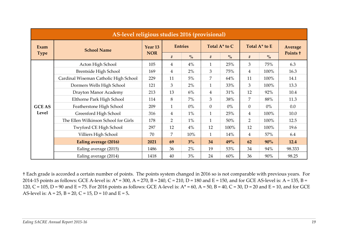|               | AS-level religious studies 2016 (provisional) |            |                |                |                |               |                |               |          |  |  |
|---------------|-----------------------------------------------|------------|----------------|----------------|----------------|---------------|----------------|---------------|----------|--|--|
| Exam          | <b>School Name</b>                            | Year 13    |                | <b>Entries</b> |                | Total A* to C |                | Total A* to E | Average  |  |  |
| <b>Type</b>   |                                               | <b>NOR</b> | #              | $\frac{0}{0}$  | #              | $\frac{0}{0}$ | #              | $\frac{0}{0}$ | Points + |  |  |
|               | Acton High School                             | 105        | 4              | 4%             | $\mathbf{1}$   | 25%           | 3              | 75%           | 6.3      |  |  |
|               | Brentside High School                         | 169        | $\overline{4}$ | 2%             | 3              | 75%           | $\overline{4}$ | 100%          | 16.3     |  |  |
|               | Cardinal Wiseman Catholic High School         | 229        | 11             | 5%             | $\overline{7}$ | 64%           | 11             | 100%          | 14.1     |  |  |
|               | Dormers Wells High School                     | 121        | 3              | 2%             | $\mathbf{1}$   | 33%           | 3              | 100%          | 13.3     |  |  |
|               | Drayton Manor Academy                         | 213        | 13             | 6%             | $\overline{4}$ | 31%           | 12             | 92%           | 10.4     |  |  |
|               | Elthorne Park High School                     | 114        | 8              | $7\%$          | 3              | 38%           | $\overline{7}$ | 88%           | 11.3     |  |  |
| <b>GCE AS</b> | Featherstone High School                      | 209        | $\mathbf{1}$   | $0\%$          | $\overline{0}$ | $0\%$         | $\overline{0}$ | $0\%$         | 0.0      |  |  |
| Level         | Greenford High School                         | 316        | 4              | $1\%$          | $\mathbf{1}$   | 25%           | $\overline{4}$ | 100%          | 10.0     |  |  |
|               | The Ellen Wilkinson School for Girls          | 178        | $\overline{2}$ | $1\%$          | $\mathbf{1}$   | 50%           | $\overline{2}$ | 100%          | 12.5     |  |  |
|               | Twyford CE High School                        | 297        | 12             | 4%             | 12             | 100%          | 12             | 100%          | 19.6     |  |  |
|               | Villiers High School                          | 70         | 7              | 10%            | $\mathbf{1}$   | 14%           | $\overline{4}$ | 57%           | 6.4      |  |  |
|               | Ealing average (2016)                         | 2021       | 69             | 3%             | 34             | 49%           | 62             | 90%           | 12.4     |  |  |
|               | Ealing average (2015)                         | 1486       | 36             | 2%             | 19             | 53%           | 34             | 94%           | 98.333   |  |  |
|               | Ealing average (2014)                         | 1418       | 40             | 3%             | 24             | 60%           | 36             | 90%           | 98.25    |  |  |

† Each grade is accorded a certain number of points. The points system changed in 2016 so is not comparable with previous years. For 2014-15 points as follows: GCE A-level is:  $A^* = 300$ ,  $A = 270$ ,  $B = 240$ ,  $C = 210$ ,  $D = 180$  and  $E = 150$ , and for GCE AS-level is:  $A = 135$ ,  $B = 125$ 120, C = 105, D = 90 and E = 75. For 2016 points as follows: GCE A-level is: A\* = 60, A = 50, B = 40, C = 30, D = 20 and E = 10, and for GCE AS-level is: A = 25, B = 20, C = 15, D = 10 and E = 5**.**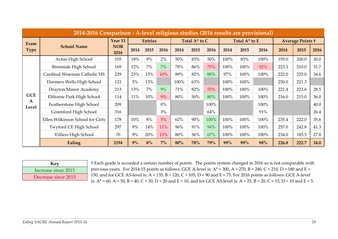|                       | 2014-2016 Comparison - A-level religious studies (2016 results are provisional) |                    |      |                |       |      |               |      |      |               |      |       |                         |      |
|-----------------------|---------------------------------------------------------------------------------|--------------------|------|----------------|-------|------|---------------|------|------|---------------|------|-------|-------------------------|------|
| Exam                  |                                                                                 | Year <sub>13</sub> |      | <b>Entries</b> |       |      | Total A* to C |      |      | Total A* to E |      |       | <b>Average Points +</b> |      |
| <b>Type</b>           | <b>School Name</b>                                                              | <b>NOR</b><br>2016 | 2014 | 2015           | 2016  | 2014 | 2015          | 2016 | 2014 | 2015          | 2016 | 2014  | 2015                    | 2016 |
|                       | Acton High School                                                               | 105                | 18%  | $9\%$          | $2\%$ | 50%  | 83%           | 50%  | 100% | 83%           | 100% | 195.0 | 200.0                   | 30.0 |
|                       | Brentside High School                                                           | 169                | 12%  | $7\%$          | $7\%$ | 78%  | 86%           | 75%  | 100% | 100%          | 92%  | 223.3 | 210.0                   | 31.7 |
|                       | Cardinal Wiseman Catholic HS                                                    | 229                | 23%  | 13%            | 10%   | 89%  | 82%           | 88%  | 97%  | 100%          | 100% | 222.0 | 225.0                   | 34.6 |
|                       | Dormers Wells High School                                                       | 121                | 5%   | 13%            |       | 100% | 63%           |      | 100% | 100%          |      | 250.0 | 221.3                   |      |
|                       | Drayton Manor Academy                                                           | 213                | 13%  | $7\%$          | 9%    | 71%  | 82%           | 55%  | 100% | 100%          | 100% | 221.4 | 223.6                   | 28.5 |
| <b>GCE</b>            | Elthorne Park High School                                                       | 114                | 11%  | 10%            | 9%    | 80%  | 50%           | 80%  | 100% | 100%          | 100% | 216.0 | 215.0                   | 36.0 |
| $\mathbf{A}$<br>Level | Featherstone High School                                                        | 209                |      |                | $0\%$ |      |               | 100% |      |               | 100% |       |                         | 40.0 |
|                       | Greenford High School                                                           | 316                |      |                | 3%    |      |               | 64%  |      |               | 91%  |       |                         | 26.4 |
|                       | Ellen Wilkinson School for Girls                                                | 178                | 10%  | 8%             | 5%    | 62%  | 90%           | 100% | 100% | 100%          | 100% | 235.4 | 222.0                   | 35.6 |
|                       | Twyford CE High School                                                          | 297                | 9%   | 14%            | 11%   | 96%  | 91%           | 94%  | 100% | 100%          | 100% | 257.0 | 242.8                   | 41.3 |
|                       | Villiers High School                                                            | 70                 | 9%   | 20%            | 13%   | 80%  | 36%           | 67%  | 100% | 100%          | 100% | 234.0 | 185.5                   | 27.8 |
|                       | Ealing                                                                          | 2194               | 9%   | 8%             | $7\%$ | 80%  | 78%           | 79%  | 99%  | 99%           | 98%  | 226.8 | 222.7                   | 34.0 |

| Key                 |
|---------------------|
| Increase since 2015 |
| Decrease since 2015 |

† Each grade is accorded a certain number of points. The points system changed in 2016 so is not comparable with previous years. For 2014-15 points as follows: GCE A-level is:  $A^* = 300$ ,  $A = 270$ ,  $B = 240$ ,  $C = 210$ ,  $D = 180$  and  $E =$ 150, and for GCE AS-level is:  $A = 135$ ,  $B = 120$ ,  $C = 105$ ,  $D = 90$  and  $E = 75$ . For 2016 points as follows: GCE A-level is:  $A^* = 60$ ,  $A = 50$ ,  $B = 40$ ,  $C = 30$ ,  $D = 20$  and  $E = 10$ , and for GCE AS-level is:  $A = 25$ ,  $B = 20$ ,  $C = 15$ ,  $D = 10$  and  $E = 5$ .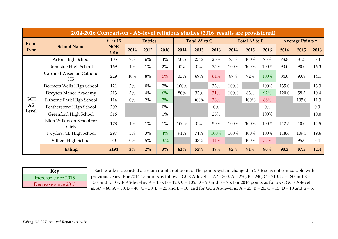|             | 2014-2016 Comparison - AS-level religious studies (2016 results are provisional) |                    |                |       |               |       |               |       |      |                         |       |       |       |      |
|-------------|----------------------------------------------------------------------------------|--------------------|----------------|-------|---------------|-------|---------------|-------|------|-------------------------|-------|-------|-------|------|
| Exam        | Year <sub>13</sub>                                                               |                    | <b>Entries</b> |       | Total A* to C |       | Total A* to E |       |      | <b>Average Points +</b> |       |       |       |      |
| <b>Type</b> | <b>School Name</b>                                                               | <b>NOR</b><br>2016 | 2014           | 2015  | 2016          | 2014  | 2015          | 2016  | 2014 | 2015                    | 2016  | 2014  | 2015  | 2016 |
|             | Acton High School                                                                | 105                | $7\%$          | $6\%$ | 4%            | 50%   | 25%           | 25%   | 75%  | 100%                    | 75%   | 78.8  | 81.3  | 6.3  |
|             | Brentside High School                                                            | 169                | $1\%$          | $1\%$ | 2%            | $0\%$ | $0\%$         | 75%   | 100% | 100%                    | 100%  | 90.0  | 90.0  | 16.3 |
|             | Cardinal Wiseman Catholic<br><b>HS</b>                                           | 229                | 10%            | 8%    | 5%            | 33%   | 69%           | 64%   | 87%  | 92%                     | 100%  | 84.0  | 93.8  | 14.1 |
|             | Dormers Wells High School                                                        | 121                | $2\%$          | $0\%$ | 2%            | 100%  |               | 33%   | 100% |                         | 100%  | 135.0 |       | 13.3 |
|             | Drayton Manor Academy                                                            | 213                | 3%             | 4%    | 6%            | 80%   | 33%           | 31%   | 100% | 83%                     | 92%   | 120.0 | 58.3  | 10.4 |
| <b>GCE</b>  | Elthorne Park High School                                                        | 114                | $0\%$          | 2%    | 7%            |       | 100%          | 38%   |      | 100%                    | 88%   |       | 105.0 | 11.3 |
| <b>AS</b>   | Featherstone High School                                                         | 209                |                |       | $0\%$         |       |               | $0\%$ |      |                         | $0\%$ |       |       | 0.0  |
| Level       | Greenford High School                                                            | 316                |                |       | $1\%$         |       |               | 25%   |      |                         | 100%  |       |       | 10.0 |
|             | Ellen Wilkinson School for<br>Girls                                              | 178                | 1%             | $1\%$ | $1\%$         | 100%  | $0\%$         | 50%   | 100% | 100%                    | 100%  | 112.5 | 10.0  | 12.5 |
|             | Twyford CE High School                                                           | 297                | 5%             | 3%    | 4%            | 91%   | 71%           | 100%  | 100% | 100%                    | 100%  | 118.6 | 109.3 | 19.6 |
|             | Villiers High School                                                             | 70                 | $0\%$          | 5%    | 10%           |       | 33%           | 14%   |      | 100%                    | 57%   |       | 95.0  | 6.4  |
|             | Ealing                                                                           | 2194               | 3%             | $2\%$ | $3\%$         | 62%   | 53%           | 49%   | 92%  | 94%                     | 90%   | 98.3  | 87.5  | 12.4 |

| Key                 |
|---------------------|
| Increase since 2015 |
| Decrease since 2015 |

† Each grade is accorded a certain number of points. The points system changed in 2016 so is not comparable with previous years. For 2014-15 points as follows: GCE A-level is:  $A^* = 300$ ,  $A = 270$ ,  $B = 240$ ,  $C = 210$ ,  $D = 180$  and  $E =$ 150, and for GCE AS-level is:  $A = 135$ ,  $B = 120$ ,  $C = 105$ ,  $D = 90$  and  $E = 75$ . For 2016 points as follows: GCE A-level is:  $A^* = 60$ ,  $A = 50$ ,  $B = 40$ ,  $C = 30$ ,  $D = 20$  and  $E = 10$ , and for GCE AS-level is:  $A = 25$ ,  $B = 20$ ,  $C = 15$ ,  $D = 10$  and  $E = 5$ .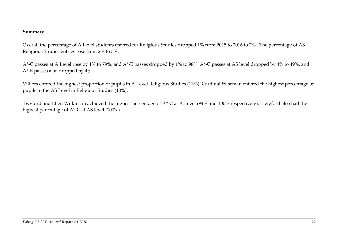#### **Summary**

Overall the percentage of A Level students entered for Religious Studies dropped 1% from 2015 to 2016 to 7%. The percentage of AS Religious Studies entries rose from 2% to 3%.

A\*-C passes at A Level rose by 1% to 79%, and A\*-E passes dropped by 1% to 98%. A\*-C passes at AS level dropped by 4% to 49%, and A\*-E passes also dropped by 4%.

Villiers entered the highest proportion of pupils in A Level Religious Studies (13%); Cardinal Wiseman entered the highest percentage of pupils to the AS Level in Religious Studies (10%).

Twyford and Ellen Wilkinson achieved the highest percentage of A\*-C at A Level (94% and 100% respectively). Twyford also had the highest percentage of A\*-C at AS level (100%).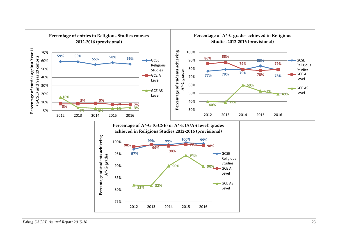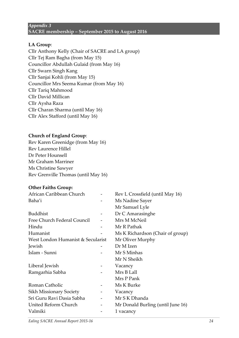#### *Appendix 3*  **SACRE membership – September 2015 to August 2016**

#### **LA Group**:

Cllr Anthony Kelly (Chair of SACRE and LA group) Cllr Tej Ram Bagha (from May 15) Councillor Abdullah Gulaid (from May 16) Cllr Swarn Singh Kang Cllr Sanjai Kohli (from May 15) Councillor Mrs Seema Kumar (from May 16) Cllr Tariq Mahmood Cllr David Millican Cllr Aysha Raza Cllr Charan Sharma (until May 16) Cllr Alex Stafford (until May 16)

#### **Church of England Group**:

Rev Karen Greenidge (from May 16) Rev Laurence Hillel Dr Peter Hounsell Mr Graham Marriner Ms Christine Sawyer Rev Grenville Thomas (until May 16)

#### **Other Faiths Group:**

| African Caribbean Church          | Rev L Crossfield (until May 16)   |
|-----------------------------------|-----------------------------------|
| Baha'i                            | Ms Nadine Sayer                   |
|                                   | Mr Samuel Lyle                    |
| <b>Buddhist</b>                   | Dr C Amarasinghe                  |
| Free Church Federal Council       | Mrs M McNeil                      |
| Hindu                             | Mr R Pathak                       |
| Humanist                          | Ms K Richardson (Chair of group)  |
| West London Humanist & Secularist | Mr Oliver Murphy                  |
| Jewish                            | Dr M Izen                         |
| Islam - Sunni                     | Mr S Minhas                       |
|                                   | Mr N Sheikh                       |
| Liberal Jewish                    | Vacancy                           |
| Ramgarhia Sabha                   | Mrs B Lall                        |
|                                   | Mrs P Pank                        |
| Roman Catholic                    | Ms K Burke                        |
| Sikh Missionary Society           | Vacancy                           |
| Sri Guru Ravi Dasia Sabha         | Mr S K Dhanda                     |
| United Reform Church              | Mr Donald Burling (until June 16) |
| Valmiki                           | 1 vacancy                         |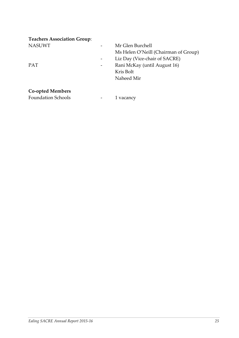| <b>Teachers Association Group:</b> |                                      |
|------------------------------------|--------------------------------------|
| <b>NASUWT</b>                      | Mr Glen Burchell                     |
|                                    | Ms Helen O'Neill (Chairman of Group) |
|                                    | Liz Day (Vice-chair of SACRE)        |
| <b>PAT</b>                         | Rani McKay (until August 16)         |
|                                    | Kris Bolt                            |
|                                    | Naheed Mir                           |
|                                    |                                      |
| <b>Co-opted Members</b>            |                                      |

Foundation Schools **1** vacancy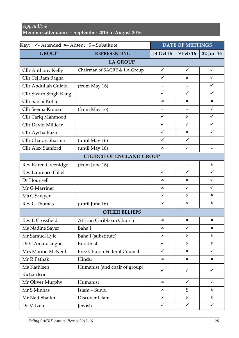#### *Appendix 4*

**Members attendance – September 2015 to August 2016**

| Key:<br>$\checkmark$ - Attended $\checkmark$ - Absent S - Substitute |                               | <b>DATE OF MEETINGS</b>  |                          |              |  |  |  |  |  |
|----------------------------------------------------------------------|-------------------------------|--------------------------|--------------------------|--------------|--|--|--|--|--|
| <b>GROUP</b>                                                         | <b>REPRESENTING</b>           | 14 Oct 15                | 9 Feb 16                 | 22 Jun 16    |  |  |  |  |  |
|                                                                      | <b>LA GROUP</b>               |                          |                          |              |  |  |  |  |  |
| Cllr Anthony Kelly                                                   | Chairman of SACRE & LA Group  | $\checkmark$             | $\checkmark$             | $\checkmark$ |  |  |  |  |  |
| Cllr Tej Ram Bagha                                                   |                               | ✓                        | ×                        | ✓            |  |  |  |  |  |
| Cllr Abdullah Gulaid                                                 | (from May 16)                 |                          |                          | $\checkmark$ |  |  |  |  |  |
| Cllr Swarn Singh Kang                                                |                               | ✓                        | $\checkmark$             | $\checkmark$ |  |  |  |  |  |
| Cllr Sanjai Kohli                                                    |                               | ×                        | ×                        | ×            |  |  |  |  |  |
| Cllr Seema Kumar                                                     | (from May 16)                 |                          | $\overline{\phantom{a}}$ | $\checkmark$ |  |  |  |  |  |
| Cllr Tariq Mahmood                                                   |                               | $\checkmark$             | ×                        | $\checkmark$ |  |  |  |  |  |
| <b>Cllr David Millican</b>                                           |                               | $\checkmark$             | $\checkmark$             | $\checkmark$ |  |  |  |  |  |
| Cllr Aysha Raza                                                      |                               | $\checkmark$             | ×                        | $\checkmark$ |  |  |  |  |  |
| Cllr Charan Sharma                                                   | (until May 16)                | $\checkmark$             | $\checkmark$             |              |  |  |  |  |  |
| <b>Cllr Alex Stanford</b>                                            | (until May 16)                | ×                        | $\checkmark$             |              |  |  |  |  |  |
| <b>CHURCH OF ENGLAND GROUP</b>                                       |                               |                          |                          |              |  |  |  |  |  |
| Rev Karen Greenidge                                                  | (from June 16)                | $\overline{\phantom{0}}$ |                          | ×            |  |  |  |  |  |
| <b>Rev Laurence Hillel</b>                                           |                               | ✓                        | $\checkmark$             | ✓            |  |  |  |  |  |
| Dr Hounsell                                                          |                               | ×                        | ×                        | $\checkmark$ |  |  |  |  |  |
| Mr G Marriner                                                        |                               | ×                        | $\checkmark$             | $\checkmark$ |  |  |  |  |  |
| Ms C Sawyer                                                          |                               | ×                        | ×                        | ×            |  |  |  |  |  |
| Rev G Thomas                                                         | (until June 16)               | ×                        | ×                        | ×            |  |  |  |  |  |
|                                                                      | <b>OTHER BELIEFS</b>          |                          |                          |              |  |  |  |  |  |
| Rev L Crossfield                                                     | African Caribbean Church      | ×                        | ×                        | ×            |  |  |  |  |  |
| Ms Nadine Sayer                                                      | Baha'i                        | ×                        | $\checkmark$             | ×            |  |  |  |  |  |
| Mr Samuel Lyle                                                       | Baha'i (substitute)           | ×                        | ×                        | ×            |  |  |  |  |  |
| Dr C Amarasinghe                                                     | Buddhist                      | $\checkmark$             | ×                        | ×            |  |  |  |  |  |
| Mrs Marion McNeill                                                   | Free Church Federal Council   | $\checkmark$             | ×                        | ✓            |  |  |  |  |  |
| Mr R Pathak                                                          | Hindu                         | $\pmb{\times}$           | ×                        | ×            |  |  |  |  |  |
| Ms Kathleen                                                          | Humanist (and chair of group) | $\checkmark$             | $\checkmark$             | ✓            |  |  |  |  |  |
| Richardson                                                           |                               |                          |                          |              |  |  |  |  |  |
| Mr Oliver Murphy                                                     | Humanist                      | ×                        | $\checkmark$             | $\checkmark$ |  |  |  |  |  |
| Mr S Minhas                                                          | Islam - Sunni                 | ×                        | S                        | ×            |  |  |  |  |  |
| Mr Naif Shaikh                                                       | Discover Islam                | ×                        | ×                        | ×            |  |  |  |  |  |
| Dr M Izen                                                            | Jewish                        | $\checkmark$             | $\checkmark$             | $\checkmark$ |  |  |  |  |  |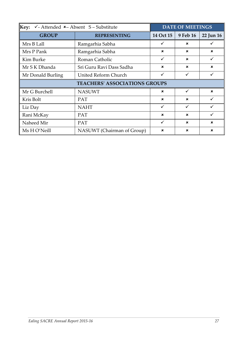| Key:<br>$\checkmark$ -Attended $\checkmark$ -Absent S-Substitute | <b>DATE OF MEETINGS</b>              |                           |                           |                           |  |  |
|------------------------------------------------------------------|--------------------------------------|---------------------------|---------------------------|---------------------------|--|--|
| <b>GROUP</b>                                                     | <b>REPRESENTING</b>                  | 14 Oct 15                 | 9 Feb 16                  | 22 Jun 16                 |  |  |
| Mrs B Lall                                                       | Ramgarhia Sabha                      |                           | $\mathbf x$               |                           |  |  |
| Mrs P Pank                                                       | Ramgarhia Sabha                      | $\mathbf x$               | $\mathbf x$               | $\mathbf x$               |  |  |
| Kim Burke                                                        | Roman Catholic                       | ✓                         | $\mathbf x$               | $\checkmark$              |  |  |
| Mr S K Dhanda                                                    | Sri Guru Ravi Dass Sadha             | $\mathbf x$               | $\mathbf x$               | $\mathbf x$               |  |  |
| United Reform Church<br>Mr Donald Burling                        |                                      | ✓                         | $\checkmark$              | $\checkmark$              |  |  |
|                                                                  | <b>TEACHERS' ASSOCIATIONS GROUPS</b> |                           |                           |                           |  |  |
| Mr G Burchell                                                    | <b>NASUWT</b>                        | $\mathbf x$               |                           | $\mathbf x$               |  |  |
| Kris Bolt                                                        | <b>PAT</b>                           | $\boldsymbol{\mathsf{x}}$ | $\mathbf x$               | ✓                         |  |  |
| Liz Day                                                          | <b>NAHT</b>                          | ✓                         | $\checkmark$              | $\checkmark$              |  |  |
| Rani McKay                                                       | <b>PAT</b>                           | $\mathbf x$               | $\mathbf x$               |                           |  |  |
| Naheed Mir                                                       | PAT                                  | ✓                         | $\mathbf x$               | $\mathbf x$               |  |  |
| Ms H O'Neill                                                     | NASUWT (Chairman of Group)           | $\mathbf x$               | $\boldsymbol{\mathsf{x}}$ | $\boldsymbol{\mathsf{x}}$ |  |  |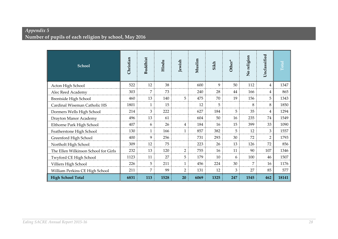## *Appendix 5*  **Number of pupils of each religion by school, May 2016**

| <b>School</b>                        | Christian | <b>Buddhist</b> | Hindu | Jewish         | Muslim | Sikh | Other* | No religion | Unclassified   | Total |
|--------------------------------------|-----------|-----------------|-------|----------------|--------|------|--------|-------------|----------------|-------|
| Acton High School                    | 522       | 12              | 38    |                | 600    | 9    | 50     | 112         | 4              | 1347  |
| Alec Reed Academy                    | 303       | 7               | 73    |                | 240    | 28   | 44     | 166         | $\overline{4}$ | 865   |
| Brentside High School                | 460       | 13              | 140   | 5              | 475    | 70   | 19     | 156         | 5              | 1343  |
| Cardinal Wiseman Catholic HS         | 1801      | $\mathbf{1}$    | 15    |                | 12     | 5    |        | 8           | 8              | 1850  |
| Dormers Wells High School            | 214       | 3               | 222   |                | 627    | 184  | 5      | 35          | 4              | 1294  |
| Drayton Manor Academy                | 496       | 13              | 61    |                | 604    | 50   | 16     | 235         | 74             | 1549  |
| Elthorne Park High School            | 407       | 6               | 26    | $\overline{4}$ | 184    | 16   | 15     | 399         | 33             | 1090  |
| Featherstone High School             | 130       | 1               | 166   | $\mathbf{1}$   | 857    | 382  | 5      | 12          | 3              | 1557  |
| Greenford High School                | 400       | 9               | 256   |                | 731    | 293  | 30     | 72          | $\overline{2}$ | 1793  |
| Northolt High School                 | 309       | 12              | 75    |                | 223    | 26   | 13     | 126         | 72             | 856   |
| The Ellen Wilkinson School for Girls | 232       | 13              | 120   | $\overline{2}$ | 755    | 16   | 11     | 90          | 107            | 1346  |
| Twyford CE High School               | 1123      | 11              | 27    | 5              | 179    | 10   | 6      | 100         | 46             | 1507  |
| Villiers High School                 | 226       | 5               | 211   | $\mathbf{1}$   | 456    | 224  | 30     | 7           | 16             | 1176  |
| William Perkins CE High School       | 211       | 7               | 99    | $\overline{2}$ | 131    | 12   | 3      | 27          | 85             | 577   |
| <b>High School Total</b>             | 6831      | 113             | 1528  | 20             | 6069   | 1325 | 247    | 1545        | 462            | 18141 |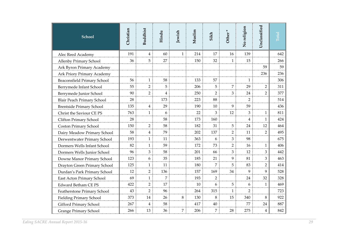| <b>School</b>                      | Christian | <b>Buddhist</b> | Hindu          | Jewish       | Muslim | Sikh           | Other*         | No religion    | Unclassified   | Total |
|------------------------------------|-----------|-----------------|----------------|--------------|--------|----------------|----------------|----------------|----------------|-------|
| Alec Reed Academy                  | 191       | 4               | 60             | $\mathbf{1}$ | 214    | 17             | 16             | 139            |                | 642   |
| Allenby Primary School             | 36        | 5               | 27             |              | 150    | 32             | $\mathbf{1}$   | 15             |                | 266   |
| Ark Byron Primary Academy          |           |                 |                |              |        |                |                |                | 59             | 59    |
| Ark Priory Primary Academy         |           |                 |                |              |        |                |                |                | 236            | 236   |
| <b>Beaconsfield Primary School</b> | 56        | $\mathbf{1}$    | 58             |              | 133    | 57             |                | $\mathbf{1}$   |                | 306   |
| Berrymede Infant School            | 55        | $\overline{2}$  | 5              |              | 206    | 5              | 7              | 29             | $\overline{2}$ | 311   |
| Berrymede Junior School            | 90        | $\overline{2}$  | $\overline{4}$ |              | 250    | $\overline{2}$ | 3              | 24             | $\overline{2}$ | 377   |
| Blair Peach Primary School         | 28        |                 | 173            |              | 223    | 88             |                | $\overline{2}$ |                | 514   |
| <b>Brentside Primary School</b>    | 135       | $\overline{4}$  | 29             |              | 190    | 10             | 9              | 59             |                | 436   |
| Christ the Saviour CE PS           | 763       | $\mathbf{1}$    | 6              |              | 22     | 3              | 12             | 3              | $\mathbf{1}$   | 811   |
| Clifton Primary School             | 28        |                 | 58             |              | 173    | 160            |                | 4              | $\mathbf{1}$   | 424   |
| Coston Primary School              | 150       | $\overline{2}$  | 58             |              | 182    | 31             | 5              | 24             | 12             | 464   |
| Dairy Meadow Primary School        | 58        | $\overline{4}$  | 79             |              | 202    | 137            | $\overline{2}$ | 11             | $\overline{2}$ | 495   |
| Derwentwater Primary School        | 193       | $\mathbf{1}$    | 11             |              | 363    | 6              | 3              | 98             |                | 675   |
| Dormers Wells Infant School        | 82        | $\mathbf{1}$    | 59             |              | 172    | 73             | $\overline{2}$ | 16             | $\mathbf{1}$   | 406   |
| Dormers Wells Junior School        | 96        | 3               | 58             |              | 201    | 66             | 3              | 12             | 3              | 442   |
| Downe Manor Primary School         | 123       | 6               | 35             |              | 185    | 21             | 9              | 81             | 3              | 463   |
| Drayton Green Primary School       | 125       | 1               | 11             |              | 180    | 7              | 5              | 83             | $\overline{2}$ | 414   |
| Durdan's Park Primary School       | 12        | $\overline{2}$  | 136            |              | 157    | 169            | 34             | 9              | 9              | 528   |
| East Acton Primary School          | 69        | $\mathbf{1}$    | $\overline{7}$ |              | 193    | $\overline{2}$ |                | 24             | 32             | 328   |
| <b>Edward Betham CE PS</b>         | 422       | $\overline{2}$  | 17             |              | 10     | 6              | 5              | 6              | $\mathbf{1}$   | 469   |
| Featherstone Primary School        | 43        | $\overline{2}$  | 96             |              | 264    | 315            | $\mathbf{1}$   | $\overline{2}$ |                | 723   |
| <b>Fielding Primary School</b>     | 373       | 14              | 26             | 8            | 130    | 8              | 15             | 340            | 8              | 922   |
| Gifford Primary School             | 267       | $\overline{4}$  | 58             |              | 417    | 40             |                | 77             | 24             | 887   |
| <b>Grange Primary School</b>       | 266       | 13              | 36             | 7            | 206    | 7              | 28             | 275            | 4              | 842   |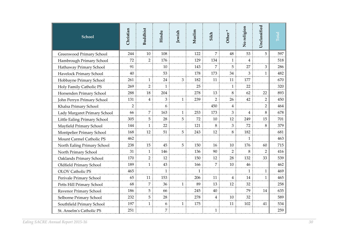| School                       | Christian      | <b>Buddhist</b> | Hindu        | Jewish       | Muslim | Sikh           | Other*         | No religion  | Unclassified   | Total |
|------------------------------|----------------|-----------------|--------------|--------------|--------|----------------|----------------|--------------|----------------|-------|
| Greenwood Primary School     | 244            | 10              | 108          |              | 122    | 7              | 48             | 53           | 5              | 597   |
| Hambrough Primary School     | 72             | $\overline{2}$  | 176          |              | 129    | 134            | $\mathbf{1}$   | 4            |                | 518   |
| Hathaway Primary School      | 91             |                 | 10           |              | 143    | 7              | 5              | 27           | 3              | 286   |
| Havelock Primary School      | 40             |                 | 53           |              | 178    | 173            | 34             | 3            | $\mathbf{1}$   | 482   |
| Hobbayne Primary School      | 261            | $\mathbf{1}$    | 24           | 3            | 182    | 11             | 11             | 177          |                | 670   |
| Holy Family Catholic PS      | 269            | $\overline{2}$  | $\mathbf{1}$ |              | 25     |                | 1              | 22           |                | 320   |
| Horsenden Primary School     | 288            | 18              | 204          |              | 278    | 13             | 8              | 62           | 22             | 893   |
| John Perryn Primary School   | 131            | 4               | 3            | $\mathbf{1}$ | 239    | $\overline{2}$ | 26             | 42           | $\overline{2}$ | 450   |
| Khalsa Primary School        | $\overline{2}$ |                 | 6            |              |        | 450            | 4              |              | $\overline{2}$ | 464   |
| Lady Margaret Primary School | 66             | 7               | 163          | $\mathbf{1}$ | 253    | 173            | 3              | 4            | 8              | 678   |
| Little Ealing Primary School | 305            | 5               | 28           | 5            | 72     | 10             | 12             | 249          | 15             | 701   |
| Mayfield Primary School      | 144            | $\mathbf{1}$    | 22           |              | 121    | 8              | 3              | 72           | 8              | 379   |
| Montpelier Primary School    | 168            | 12              | 51           | 5            | 243    | 12             | 8              | 182          |                | 681   |
| Mount Carmel Catholic PS     | 462            |                 |              |              |        |                |                | $\mathbf{1}$ |                | 463   |
| North Ealing Primary School  | 238            | 15              | 45           | 5            | 150    | 16             | 10             | 176          | 60             | 715   |
| North Primary School         | 31             | $\mathbf{1}$    | 146          |              | 136    | 90             | $\overline{2}$ | 8            | $\overline{2}$ | 416   |
| Oaklands Primary School      | 170            | $\overline{2}$  | 12           |              | 150    | 12             | 28             | 132          | 33             | 539   |
| Oldfield Primary School      | 189            | $\mathbf{1}$    | 43           |              | 166    | 7              | 10             | 46           |                | 462   |
| <b>OLOV Catholic PS</b>      | 465            |                 | $\mathbf{1}$ |              | 1      |                |                | $\mathbf{1}$ | $\mathbf{1}$   | 469   |
| Perivale Primary School      | 65             | 11              | 153          |              | 206    | 11             | 4              | 14           | $\mathbf{1}$   | 465   |
| Petts Hill Primary School    | 68             | 7               | 36           | $\mathbf{1}$ | 89     | 13             | 12             | 32           |                | 258   |
| Ravenor Primary School       | 186            | 5               | 66           |              | 245    | 40             |                | 79           | 14             | 635   |
| Selborne Primary School      | 232            | 5               | 28           |              | 278    | 4              | 10             | 32           |                | 589   |
| Southfield Primary School    | 197            | $\mathbf{1}$    | 6            | $\mathbf{1}$ | 175    |                | 11             | 102          | 41             | 534   |
| St. Anselm's Catholic PS     | 251            |                 | 7            |              |        | $\mathbf{1}$   |                |              |                | 259   |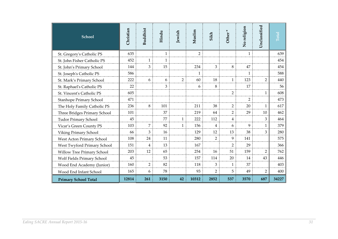| <b>School</b>                | Christian | <b>Buddhist</b> | Hindu        | Jewish         | Muslim         | Sikh           | $\star$<br>Other <sup>3</sup> | No religion    | Unclassified   | $\Gamma$ otal |
|------------------------------|-----------|-----------------|--------------|----------------|----------------|----------------|-------------------------------|----------------|----------------|---------------|
| St. Gregory's Catholic PS    | 635       |                 | $\mathbf{1}$ |                | $\overline{2}$ |                |                               | $\mathbf{1}$   |                | 639           |
| St. John Fisher Catholic PS  | 452       | $\mathbf{1}$    | $\mathbf{1}$ |                |                |                |                               |                |                | 454           |
| St. John's Primary School    | 144       | 3               | 15           |                | 234            | 3              | 8                             | 47             |                | 454           |
| St. Joseph's Catholic PS     | 586       |                 |              |                | $\mathbf{1}$   |                |                               | 1              |                | 588           |
| St. Mark's Primary School    | 222       | 6               | 6            | $\overline{2}$ | 60             | 18             | $\mathbf{1}$                  | 123            | $\overline{2}$ | 440           |
| St. Raphael's Catholic PS    | 22        |                 | 3            |                | 6              | 8              |                               | 17             |                | 56            |
| St. Vincent's Catholic PS    | 605       |                 |              |                |                |                | $\overline{2}$                |                | $\mathbf{1}$   | 608           |
| Stanhope Primary School      | 471       |                 |              |                |                |                |                               | $\overline{2}$ |                | 473           |
| The Holy Family Catholic PS  | 236       | 8               | 101          |                | 211            | 38             | $\overline{2}$                | 20             | $\mathbf{1}$   | 617           |
| Three Bridges Primary School | 101       |                 | 37           |                | 219            | 64             | $\overline{2}$                | 29             | 10             | 462           |
| Tudor Primary School         | 45        |                 | 77           | $\mathbf{1}$   | 222            | 112            | 4                             |                | 3              | 464           |
| Vicar's Green County PS      | 103       | 7               | 92           | $\mathbf{1}$   | 156            | 4              | 6                             | 9              | $\mathbf{1}$   | 379           |
| Viking Primary School        | 66        | 3               | 16           |                | 129            | 12             | 13                            | 38             | 3              | 280           |
| West Acton Primary School    | 108       | 24              | 11           |                | 280            | 2              | 9                             | 141            |                | 575           |
| West Twyford Primary School  | 151       | 4               | 13           |                | 167            |                | $\overline{2}$                | 29             |                | 366           |
| Willow Tree Primary School   | 203       | 12              | 65           |                | 254            | 16             | 51                            | 159            | $\overline{2}$ | 762           |
| Wolf Fields Primary School   | 45        |                 | 53           |                | 157            | 114            | 20                            | 14             | 43             | 446           |
| Wood End Academy (Junior)    | 160       | $\overline{2}$  | 82           |                | 118            | 3              | $\mathbf{1}$                  | 37             |                | 403           |
| Wood End Infant School       | 165       | 6               | 78           |                | 93             | $\overline{2}$ | 5                             | 49             | $\overline{2}$ | 400           |
| <b>Primary School Total</b>  | 12814     | 261             | 3150         | 42             | 10312          | 2852           | 537                           | 3570           | 687            | 34227         |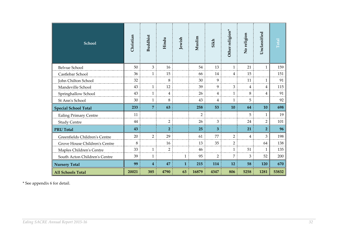| School                        | Christian | Buddhist                | Hindu          | Jewish       | Muslim         | Sikh           | Other religion* | No religion    | Unclassified   | Total |
|-------------------------------|-----------|-------------------------|----------------|--------------|----------------|----------------|-----------------|----------------|----------------|-------|
| <b>Belvue School</b>          | 50        | 3                       | 16             |              | 54             | 13             | $\mathbf{1}$    | 21             | $\mathbf{1}$   | 159   |
| Castlebar School              | 36        | $\mathbf{1}$            | 15             |              | 66             | 14             | 4               | 15             |                | 151   |
| John Chilton School           | 32        |                         | 8              |              | 30             | 9              |                 | 11             | $\mathbf{1}$   | 91    |
| Mandeville School             | 43        | $\mathbf{1}$            | 12             |              | 39             | 9              | 3               | $\overline{4}$ | 4              | 115   |
| Springhallow School           | 43        | $\mathbf{1}$            | 4              |              | 26             | 4              | $\mathbf{1}$    | 8              | 4              | 91    |
| St Ann's School               | 30        | $\mathbf{1}$            | 8              |              | 43             | 4              | $\mathbf{1}$    | 5              |                | 92    |
| <b>Special School Total</b>   | 233       | $\overline{7}$          | 63             |              | 258            | 53             | 10              | 64             | 10             | 698   |
| <b>Ealing Primary Centre</b>  | 11        |                         |                |              | $\overline{2}$ |                |                 | 5              | $\mathbf{1}$   | 19    |
| <b>Study Centre</b>           | 44        |                         | $\overline{2}$ |              | 26             | $\mathfrak{Z}$ |                 | 24             | $\overline{2}$ | 101   |
| <b>PRU Total</b>              | 43        |                         | $\overline{2}$ |              | 25             | 3              |                 | 21             | $\overline{2}$ | 96    |
| Greenfields Children's Centre | 20        | $\overline{2}$          | 29             |              | 61             | 77             | $\overline{2}$  | $\overline{4}$ | 3              | 198   |
| Grove House Children's Centre | 8         |                         | 16             |              | 13             | 35             | $\overline{2}$  |                | 64             | 138   |
| Maples Children's Centre      | 33        | $\mathbf{1}$            | $\overline{2}$ |              | 46             |                | $\mathbf{1}$    | 51             | $\mathbf{1}$   | 135   |
| South Acton Children's Centre | 39        | $\mathbf{1}$            |                | $\mathbf{1}$ | 95             | $\overline{2}$ | 7               | 3              | 52             | 200   |
| <b>Nursery Total</b>          | 99        | $\overline{\mathbf{4}}$ | 47             | $\mathbf{1}$ | 215            | 114            | <b>12</b>       | 58             | <b>120</b>     | 670   |
| <b>All Schools Total</b>      | 20021     | 385                     | 4790           | 63           | 16879          | 4347           | 806             | 5258           | 1281           | 53832 |

\* See appendix 6 for detail.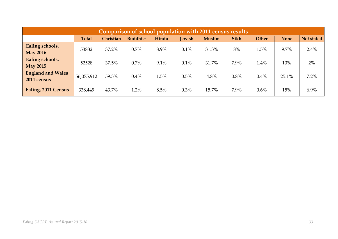| Comparison of school population with 2011 census results |              |           |                 |       |               |               |      |         |             |            |  |  |
|----------------------------------------------------------|--------------|-----------|-----------------|-------|---------------|---------------|------|---------|-------------|------------|--|--|
|                                                          | <b>Total</b> | Christian | <b>Buddhist</b> | Hindu | <b>Jewish</b> | <b>Muslim</b> | Sikh | Other   | <b>None</b> | Not stated |  |  |
| Ealing schools,<br><b>May 2016</b>                       | 53832        | 37.2%     | 0.7%            | 8.9%  | $0.1\%$       | 31.3%         | 8%   | 1.5%    | $9.7\%$     | 2.4%       |  |  |
| Ealing schools,<br><b>May 2015</b>                       | 52528        | 37.5%     | 0.7%            | 9.1%  | 0.1%          | 31.7%         | 7.9% | 1.4%    | 10%         | 2%         |  |  |
| <b>England and Wales</b><br>2011 census                  | 56,075,912   | 59.3%     | 0.4%            | 1.5%  | 0.5%          | 4.8%          | 0.8% | 0.4%    | 25.1%       | 7.2%       |  |  |
| Ealing, 2011 Census                                      | 338,449      | 43.7%     | 1.2%            | 8.5%  | 0.3%          | 15.7%         | 7.9% | $0.6\%$ | 15%         | $6.9\%$    |  |  |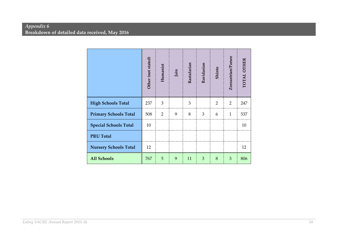#### *Appendix 6*  **Breakdown of detailed data received, May 2016**

|                              | Other (not stated) | Humanist | Jain | Rastafarian | Ravidasian | Shinto         | Zoroastrian/Parsee | TOTAL OTHER |
|------------------------------|--------------------|----------|------|-------------|------------|----------------|--------------------|-------------|
| <b>High Schools Total</b>    | 237                | 3        |      | 3           |            | $\overline{2}$ | 2                  | 247         |
| <b>Primary Schools Total</b> | 508                | 2        | 9    | 8           | 3          | 6              | $\mathbf{1}$       | 537         |
| <b>Special Schools Total</b> | 10                 |          |      |             |            |                |                    | 10          |
| <b>PRU Total</b>             |                    |          |      |             |            |                |                    |             |
| <b>Nursery Schools Total</b> | 12                 |          |      |             |            |                |                    | 12          |
| <b>All Schools</b>           | 767                | 5        | 9    | 11          | 3          | 8              | 3                  | 806         |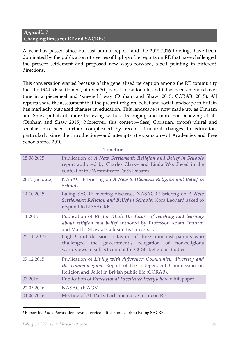#### *Appendix 7*  **Changing times for RE and SACREs?**2F **3**

A year has passed since our last annual report, and the 2015-2016 briefings have been dominated by the publication of a series of high-profile reports on RE that have challenged the present settlement and proposed new ways forward, albeit pointing in different directions.

This conversation started because of the generalised perception among the RE community that the 1944 RE settlement, at over 70 years, is now too old and it has been amended over time in a piecemeal and 'kneejerk' way (Dinham and Shaw, 2015; CORAB, 2015). All reports share the assessment that the present religion, belief and social landscape in Britain has markedly outpaced changes in education. This landscape is now made up, as Dinham and Shaw put it, of 'more believing without belonging and more non-believing at all' (Dinham and Shaw 2015). Moreover, this context—(less) Christian, (more) plural and secular—has been further complicated by recent structural changes to education, particularly since the introduction—and attempts at expansion—of Academies and Free Schools since 2010.

|                | <b>Timeline</b>                                                                                                                                                                     |
|----------------|-------------------------------------------------------------------------------------------------------------------------------------------------------------------------------------|
| 15.06.2015     | Publication of A New Settlement: Religion and Belief in Schools<br>report authored by Charles Clarke and Linda Woodhead in the<br>context of the Westminster Faith Debates.         |
| 2015 (no date) | NASACRE briefing on A New Settlement: Religion and Belief in<br>Schools.                                                                                                            |
| 14.10.2015     | Ealing SACRE meeting discusses NASACRE briefing on A New<br>Settlement: Religion and Belief in Schools; Nora Leonard asked to<br>respond to NASACRE.                                |
| 11.2015        | Publication of RE for REal: The future of teaching and learning<br>about religion and belief authored by Professor Adam Dinham<br>and Martha Shaw at Goldsmiths University.         |
| 25.11.2015     | High Court decision in favour of three humanist parents who<br>challenged the government's relegation of non-religious<br>worldviews in subject content for GCSC Religious Studies. |
| 07.12.2015     | Publication of Living with difference: Community, diversity and<br>the common good. Report of the independent Commission on<br>Religion and Belief in British public life (CORAB).  |
| 03.2016        | Publication of Educational Excellence Everywhere whitepaper                                                                                                                         |
| 22.05.2016     | <b>NASACRE AGM</b>                                                                                                                                                                  |
| 01.06.2016     | Meeting of All Party Parliamentary Group on RE                                                                                                                                      |

<sup>&</sup>lt;sup>3</sup> Report by Paula Portas, democratic services officer and clerk to Ealing SACRE.

-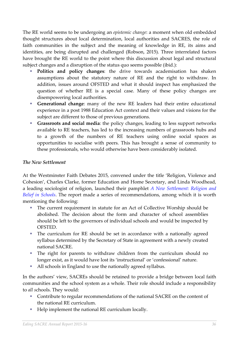The RE world seems to be undergoing an *epistemic change*: a moment when old embedded thought structures about local determination, local authorities and SACRES, the role of faith communities in the subject and the meaning of knowledge in RE, its aims and identities, are being disrupted and challenged (Robson, 2015). Three interrelated factors have brought the RE world to the point where this discussion about legal and structural subject changes and a disruption of the status quo seems possible (ibid.):

- **Politics and policy changes**: the drive towards academisation has shaken assumptions about the statutory nature of RE and the right to withdraw. In addition, issues around OFSTED and what it should inspect has emphasized the question of whether RE is a special case. Many of these policy changes are disempowering local authorities.
- **Generational change**: many of the new RE leaders had their entire educational experience in a post 1988 Education Act context and their values and visions for the subject are different to those of previous generations.
- **Grassroots and social media**: the policy changes, leading to less support networks available to RE teachers, has led to the increasing numbers of grassroots hubs and to a growth of the numbers of RE teachers using online social spaces as opportunities to socialise with peers. This has brought a sense of community to these professionals, who would otherwise have been considerably isolated.

#### *The New Settlement*

At the Westminster Faith Debates 2015, convened under the title 'Religion, Violence and Cohesion', Charles Clarke, former Education and Home Secretary, and Linda Woodhead, a leading sociologist of religion, launched their pamphlet *[A New Settlement: Religion and](http://faithdebates.org.uk/research/)  [Belief in Schools](http://faithdebates.org.uk/research/)*. The report made a series of recommendations, among which it is worth mentioning the following:

- The current requirement in statute for an Act of Collective Worship should be abolished. The decision about the form and character of school assemblies should be left to the governors of individual schools and would be inspected by OFSTED.
- The curriculum for RE should be set in accordance with a nationally agreed syllabus determined by the Secretary of State in agreement with a newly created national SACRE.
- The right for parents to withdraw children from the curriculum should no longer exist, as it would have lost its 'instructional' or 'confessional' nature.
- All schools in England to use the nationally agreed syllabus.

In the authors' view, SACREs should be retained to provide a bridge between local faith communities and the school system as a whole. Their role should include a responsibility to *all s*chools. They would:

- Contribute to regular recommendations of the national SACRE on the content of the national RE curriculum.
- Help implement the national RE curriculum locally.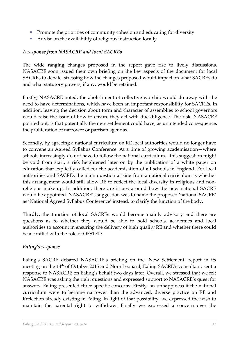- **Promote the priorities of community cohesion and educating for diversity.**
- Advise on the availability of religious instruction locally.

#### *A response from NASACRE and local SACREs*

The wide ranging changes proposed in the report gave rise to lively discussions. NASACRE soon issued their own briefing on the key aspects of the document for local SACREs to debate, stressing how the changes proposed would impact on what SACREs do and what statutory powers, if any, would be retained.

Firstly, NASACRE noted, the abolishment of collective worship would do away with the need to have determinations, which have been an important responsibility for SACREs. In addition, leaving the decision about form and character of assemblies to school governors would raise the issue of how to ensure they act with due diligence. The risk, NASACRE pointed out, is that potentially the new settlement could have, as unintended consequence, the proliferation of narrower or partisan agendas.

Secondly, by agreeing a national curriculum on RE local authorities would no longer have to convene an Agreed Syllabus Conference. At a time of growing academisation—where schools increasingly do not have to follow the national curriculum—this suggestion might be void from start, a risk heightened later on by the publication of a white paper on education that explicitly called for the academisation of all schools in England. For local authorities and SACREs the main question arising from a national curriculum is whether this arrangement would still allow RE to reflect the local diversity in religious and nonreligious make-up. In addition, there are issues around how the new national SACRE would be appointed. NASACRE's suggestion was to name the proposed 'national SACRE' as 'National Agreed Syllabus Conference' instead, to clarify the function of the body.

Thirdly, the function of local SACREs would become mainly advisory and there are questions as to whether they would be able to hold schools, academies and local authorities to account in ensuring the delivery of high quality RE and whether there could be a conflict with the role of OFSTED.

#### *Ealing's response*

Ealing's SACRE debated NASACRE's briefing on the 'New Settlement' report in its meeting on the 14th of October 2015 and Nora Leonard, Ealing SACRE's consultant, sent a response to NASACRE on Ealing's behalf two days later. Overall, we stressed that we felt NASACRE was asking the right questions and expressed support to NASACRE's quest for answers. Ealing presented three specific concerns. Firstly, an unhappiness if the national curriculum were to become narrower than the advanced, diverse practice on RE and Reflection already existing in Ealing. In light of that possibility, we expressed the wish to maintain the parental right to withdraw. Finally we expressed a concern over the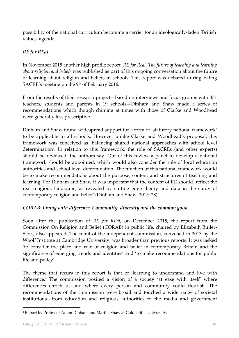possibility of the national curriculum becoming a carrier for an ideologically-laden 'British values' agenda.

#### *RE for REal*

In November 2015 another high profile report, *RE for Real. The future of teaching and learning*  about religion and belief<sup>4</sup> was published as part of this ongoing conversation about the future of learning about religion and beliefs in schools. This report was debated during Ealing SACRE's meeting on the 9<sup>th</sup> of February 2016.

From the results of their research project—based on interviews and focus groups with 331 teachers, students and parents in 19 schools—Dinham and Shaw made a series of recommendations which though chiming at times with those of Clarke and Woodhead were generally less prescriptive.

Dinham and Shaw found widespread support for a form of 'statutory national framework' to be applicable to all schools. However unlike Clarke and Woodhead's proposal, this framework was conceived as 'balancing shared national approaches with school level determination*'*. In relation to this framework, the role of SACREs (and other experts) should be reviewed, the authors say. Out of this review a panel to develop a national framework should be appointed, which would also consider the role of local education authorities and school level determination. The function of this national framework would be to make recommendations about the purpose, content and structures of teaching and learning. For Dinham and Shaw it was important that the content of RE should 'reflect the real religious landscape, as revealed by cutting edge theory and data in the study of contemporary religion and belief*'* (Dinham and Shaw, 2015: 28).

#### *CORAB: Living with difference. Community, diversity and the common good*

Soon after the publication of *RE for REal*, on December 2015, the report from the Commission On Religion and Belief (CORAB) in public life, chaired by Elizabeth Butler-Sloss, also appeared. The remit of the independent commission, convened in 2013 by the Woolf Institute at Cambridge University, was broader than previous reports. It was tasked 'to consider the place and role of religion and belief in contemporary Britain and the significance of emerging trends and identities' and 'to make recommendations for public life and policy'.

The theme that recurs in this report is that of 'learning to understand and live with difference.' The commission posited a vision of a society 'at ease with itself' where differences enrich us and where every person and community could flourish. The recommendations of the commission were broad and touched a wide range of societal institutions—from education and religious authorities to the media and government

-

<sup>4</sup> Report by Professor Adam Dinham and Martha Shaw at Goldsmiths University.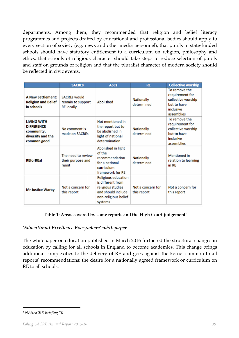departments. Among them, they recommended that religion and belief literacy programmes and projects drafted by educational and professional bodies should apply to every section of society (e.g. news and other media personnel); that pupils in state-funded schools should have statutory entitlement to a curriculum on religion, philosophy and ethics; that schools of religious character should take steps to reduce selection of pupils and staff on grounds of religion and that the pluralist character of modern society should be reflected in civic events.

|                                                                                           | <b>SACREs</b>                                                 | <b>ASCs</b>                                                                                                            | <b>RE</b>                        | <b>Collective worship</b>                                                                        |
|-------------------------------------------------------------------------------------------|---------------------------------------------------------------|------------------------------------------------------------------------------------------------------------------------|----------------------------------|--------------------------------------------------------------------------------------------------|
| <b>A New Settlement:</b><br><b>Religion and Belief</b><br>in schools                      | <b>SACREs would</b><br>remain to support<br><b>RE</b> locally | Abolished                                                                                                              | Nationally<br>determined         | To remove the<br>requirement for<br>collective worship<br>but to have<br>inclusive<br>assemblies |
| <b>LIVING WITH</b><br><b>DIFFERENCE</b><br>community,<br>diversity and the<br>common good | No comment is<br>made on SACREs                               | Not mentioned in<br>the report but to<br>be abolished in<br>light of national<br>determination                         | Nationally<br>determined         | To remove the<br>requirement for<br>collective worship<br>but to have<br>inclusive<br>assemblies |
| <b>REforREal</b>                                                                          | The need to review<br>their purpose and<br>remit              | Abolished in light<br>of the<br>recommendation<br>for a national<br>curriculum<br>framework for RE                     | <b>Nationally</b><br>determined  | Mentioned in<br>relation to learning<br>in RE                                                    |
| <b>Mr Justice Warby</b>                                                                   | Not a concern for<br>this report                              | Religious education<br>is different from<br>religious studies<br>and should include<br>non-religious belief<br>systems | Not a concern for<br>this report | Not a concern for<br>this report                                                                 |

#### Table 1: Areas covered by some reports and the High Court judgement $^{\scriptscriptstyle 5}$

#### *'Educational Excellence Everywhere' whitepaper*

The whitepaper on education published in March 2016 furthered the structural changes in education by calling for all schools in England to become academies. This change brings additional complexities to the delivery of RE and goes against the kernel common to all reports' recommendations: the desire for a nationally agreed framework or curriculum on RE to all schools.

-

<sup>5</sup> *NASACRE Briefing 10*

*Ealing SACRE Annual Report 2015-16 39*